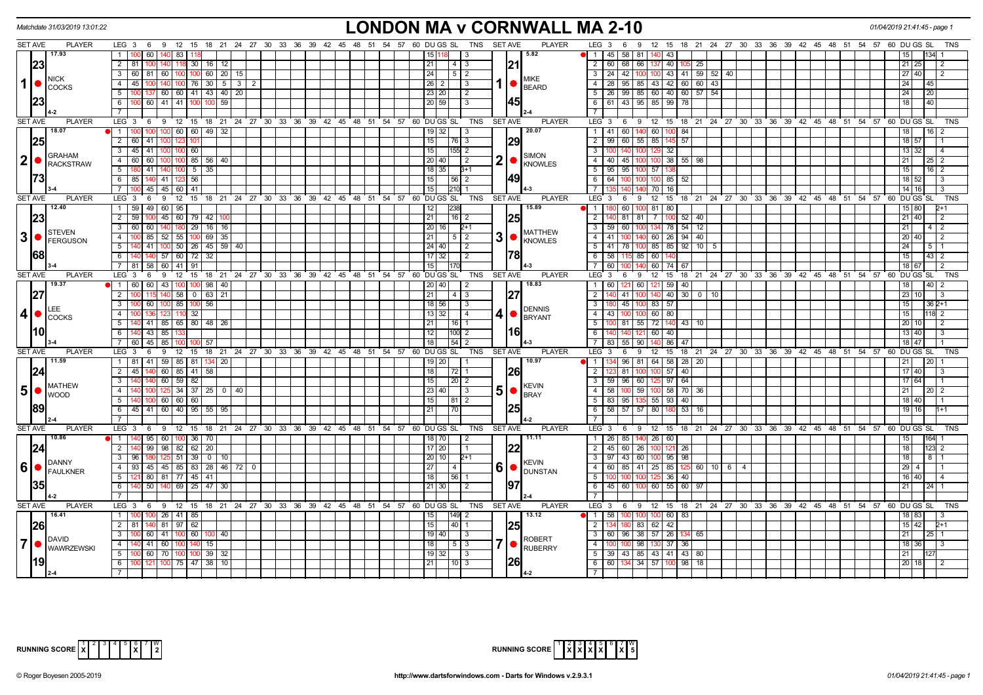| Matchdate 31/03/2019 13:01:22                                    |                                                                                            | LONDON MA v CORNWALL MA 2-10                                                                   |                                                                                             | 01/04/2019 21:41:45 - page             |
|------------------------------------------------------------------|--------------------------------------------------------------------------------------------|------------------------------------------------------------------------------------------------|---------------------------------------------------------------------------------------------|----------------------------------------|
| <b>SET AVE</b><br><b>PLAYER</b>                                  | LEG 3 6 9 12 15 18 21 24 27 30 33 36 39 42 45 48 51 54 57 60 DUGS SL TNS SETAVE            | <b>PLAYER</b>                                                                                  | LEG 3 6 9 12 15 18 21 24 27 30 33 36 39 42 45 48 51 54 57 60 DUGS SL                        | TNS                                    |
| 17.93                                                            | $\overline{1}$<br>00 60<br>140 83                                                          | 5.82<br>15   1<br>-3                                                                           | <b>1</b> 1 1 45 1 58 1 81<br>43                                                             |                                        |
| 23                                                               | 2   81  <br>140 118 30 16 12                                                               | 21<br>21<br> 4 3                                                                               | $\overline{2}$<br>60 68 66<br>40 105<br>25<br>137                                           | 21 25<br>$\overline{2}$                |
|                                                                  | 60   100   100   60   20   15<br>$\mathbf{3}$<br>60 81                                     | 24<br>$\begin{array}{c c c c c} \hline 5 & 2 \\ \hline \end{array}$                            | 100 43 41 59 52 40<br>24 42 100<br>$\mathbf{3}$                                             | 27140<br>$\overline{2}$                |
| <b>NICK</b><br>$\mathbf{1}$<br><b>COCKS</b>                      | 140 100 76 30 5<br>45<br>$\mathbf{3}$<br>4<br>- 2                                          | <b>MIKE</b><br>$26$   2 <br>3<br><b>BEARD</b>                                                  | 28   95   85   43   42   60   60   43<br>$\overline{4}$                                     | 24 I<br>45                             |
|                                                                  | 137 60 60 41 43 40 20<br>5<br>100 <sub>1</sub>                                             | 23 20<br>l 2                                                                                   | 5   26   99   85   60   40   60   57   54                                                   | 24<br>20                               |
| 23                                                               | 100 60 41 41 100<br>6<br>59                                                                | 45<br>  20   59  <br>$\overline{3}$                                                            | 6 6 61 43 95 85 99 78                                                                       | 40<br>18 <sup>1</sup>                  |
|                                                                  |                                                                                            |                                                                                                |                                                                                             |                                        |
| <b>SET AVE</b><br><b>PLAYER</b>                                  | 6 9 12 15 18 21 24 27 30 33 36 39 42 45 48 51 54 57 60 DUGS SL<br>LEG <sub>3</sub>         | <b>SET AVE</b><br><b>PLAYER</b><br>TNS                                                         | LEG 3 6 9 12 15 18 21 24 27 30 33 36 39 42 45 48 51 54 57 60 DUGS SL                        | TNS                                    |
| 18.07                                                            | $100 \ 60 \ 60 \ 49 \ 32$<br>1 100 100                                                     | 20.07<br>19 32<br>$\vert$ 3                                                                    | 1 41 60 140 60 100 84                                                                       | $16 \overline{\smash{)}2}$<br>18       |
| 25                                                               | $\overline{2}$<br>60<br>41                                                                 | 15<br> 29<br>$ 76 $ 3                                                                          | 99   60   55   85<br>145 57<br>$\overline{2}$                                               | 18 57                                  |
|                                                                  | $\overline{\mathbf{3}}$<br>45 41<br>60<br>1001100                                          | 15<br>$155$ 2                                                                                  | 32<br>3<br>ന                                                                                | 13 32<br>$\vert$ 4                     |
| <b>GRAHAM</b><br> 2                                              | 60 60 1<br>100 100 85 56 40<br>4                                                           | <b>SIMON</b><br>2 •<br>  20   40  <br>$\frac{1}{2}$                                            | 40 45 100<br>100 38 55 98<br>4                                                              | 21 <sup>1</sup><br>$25 \mid 2$         |
| RACKSTRAW                                                        | 5 <sup>5</sup><br>180 41<br>140   100   5  <br>-35                                         | <b>KNOWLES</b><br>$18$ 35<br>$3+1$                                                             | 5 <sup>1</sup><br>95   95   100   57                                                        | 15 <sup>1</sup><br>$16$   2            |
| 73                                                               | 6<br>85<br>41   123<br>56                                                                  | 149<br>15                                                                                      | 64<br>85 52<br>6<br>100                                                                     | 18 52<br>l 3                           |
|                                                                  | 45 45 60 41                                                                                | 15<br>$210$ 1                                                                                  | 70<br>16<br>$7\overline{ }$                                                                 | $14$ 16<br>$\overline{\mathbf{3}}$     |
| <b>SET AVE</b><br><b>PLAYER</b>                                  | LEG 3<br>15<br>9<br>12<br>- 6                                                              | 18 21 24 27 30 33 36 39 42 45 48 51 54 57 60 DUGS SL<br>TNS<br><b>SET AVE</b><br><b>PLAYER</b> | LEG 3<br>12<br>15<br>18 21 24 27 30 33 36 39 42 45 48 51 54 57<br>6<br>9                    | 60 DU GS SL<br><b>TNS</b>              |
| 12.40                                                            | $\mathbf{1}$<br>59   49  <br>60   95                                                       | 15.89<br>12<br>238                                                                             | $100$ 81 80<br>11<br>60                                                                     | 15 80<br>2+1                           |
| 23                                                               | 2 59<br>45 60 79 42                                                                        | 25<br>$\overline{21}$<br>$16$ 2                                                                | $\overline{2}$<br>81   81  <br>7<br>$100$ 52 $40$                                           | $21$ 40<br>$\sqrt{2}$                  |
|                                                                  | $\overline{\mathbf{3}}$<br>60<br>60<br>29<br>$16$ 16                                       | 20 16 <br>$2+1$                                                                                | $\overline{3}$<br>59 60 100<br>134 78 54 1<br>$\overline{12}$                               | 21<br>$4\overline{2}$                  |
| <b>STEVEN</b><br>$3$ $\bullet$ $\overline{\phantom{a}}$ FERGUSON | 69<br>$\overline{4}$<br>85<br>52 <br>55<br>35                                              | <b>MATTHEW</b><br>31<br>21 I<br>1512                                                           | 60<br>$26$ 94<br>41<br>40                                                                   | 20 40<br>2                             |
|                                                                  | 50 26 45 59 40<br>5<br>41                                                                  | KNOWLES<br>24   40  <br>$\sqrt{2}$                                                             | $41$ 78<br>85 85 92<br>10<br>5 <sup>5</sup><br>- 5                                          | 24 <sup>1</sup>                        |
| <b>68</b>                                                        | 57 60 72<br>32<br>6<br>140                                                                 | 78<br>$17$ 32<br>$\overline{2}$                                                                | 58<br>60<br>6<br>85                                                                         | $43 \mid 2$<br>15                      |
|                                                                  | $60$   41<br>58<br>$\overline{7}$<br>91                                                    | 15                                                                                             | 60<br>60<br>$\overline{7}$<br>74                                                            | 18 67<br>2                             |
| <b>SET AVE</b><br><b>PLAYER</b>                                  | LEG <sub>3</sub><br>12 15 18 21 24 27 30 33 36 39 42 45 48 51 54 57 60 DUGS SL<br>- 6<br>9 | <b>SET AVE</b><br><b>PLAYER</b><br><b>TNS</b>                                                  | $LEG \ 3$<br>15<br>18 21 24 27 30 33 36 39 42 45 48 51 54 57<br>12<br>- 6<br>9              | 60 DU GS SL<br>TNS                     |
| 19.37                                                            | $\overline{1}$<br>60<br>43<br>98<br>-60<br>40                                              | 18.83<br>20 40                                                                                 | $\overline{1}$<br>60<br>59<br>60<br>40                                                      |                                        |
| 27                                                               | $\overline{2}$<br>140 58<br>$0$ 63<br>$\vert$ 21                                           | 21<br> 4 3                                                                                     | $\overline{2}$<br>40 30<br>41   100<br>0 <sup>1</sup><br>10                                 | 23 10<br>3                             |
|                                                                  | 56<br>$\overline{\mathbf{3}}$<br>60<br>$100$ 85<br>100                                     | $18$ 56<br>$\overline{3}$                                                                      | $\overline{\mathbf{3}}$<br>45 100<br>83<br>57                                               | $362+1$<br>15                          |
| <b>LEE</b><br> 4 <br><b>COCKS</b>                                | 32<br>4                                                                                    | <b>DENNIS</b><br>4 ●<br>13 32  <br>$\sqrt{4}$<br><b>BRYANT</b>                                 | 43<br>60 80<br>4                                                                            | 15 <sup>1</sup><br>18 I 2              |
|                                                                  | 140 41 85 65 80 48 26<br>5                                                                 | 21<br>$16$ 1                                                                                   | 5<br>100 81 55 72<br>$140$ 43   10                                                          | 20 10<br>$\overline{2}$                |
| 110                                                              | 6 140 43 85 1                                                                              | l16l<br>12<br>$ 100 $ 2                                                                        | 6<br>60 40<br>140  140  121                                                                 | 13 40<br><b>3</b>                      |
|                                                                  | 7 60 45 85 100<br>ഹ<br>57                                                                  | 18<br>$\overline{54}$ 2                                                                        | 7 83 55 90<br>86 47                                                                         | $18$ 47                                |
| SET AVE<br><b>PLAYER</b>                                         | 12 15 18 21 24 27 30 33 36 39 42 45 48 51 54 57 60 DUGS SL<br>LEG 3<br>6<br>9              | <b>SET AVE</b><br><b>PLAYER</b><br>TNS                                                         | LEG <sub>3</sub><br>18 21 24 27 30 33 36 39 42 45 48 51 54 57 60 DUGS SL<br>6<br>9<br>12 15 | TNS                                    |
| 11.59                                                            | 1 81 41 59 85 81 134 20                                                                    | 10.97<br>$19$ 20                                                                               | 134 96 81 64 58 28 20<br>- 1 I                                                              | 20<br>$21 \mid$                        |
| 24                                                               | $60$ 85 41<br>58<br>2<br>45                                                                | 18<br><b>26</b>                                                                                | $\overline{2}$<br>$57$ 40<br>81                                                             | 17   40<br>-3                          |
|                                                                  | $60$   59   82<br>-3                                                                       | 15                                                                                             | 59   96   60<br>$97 \ 64$<br>3<br>125                                                       | 17 64                                  |
| <b>MATHEW</b><br>5 <sup>1</sup><br><b>WOOD</b>                   | $125$ 34   37   25   0   40<br>4                                                           | <b>KEVIN</b><br>$5\bullet$<br>23 40 <br>$\vert$ 3<br><b>BRAY</b>                               | 4   58   100   59   100   58   70   36                                                      | 21<br>20 2                             |
|                                                                  | 5<br>140 100 60 60 60                                                                      | 15 <br> 81 2                                                                                   | 5   83   95   135   55   93   40                                                            | 18 40                                  |
| 189                                                              | 45 41 60 40 95 55 95<br>6                                                                  | 21<br>$\overline{170}$                                                                         | 58 57 57 80<br>53<br>6<br>16                                                                | 19 16<br>$1+1$                         |
|                                                                  |                                                                                            |                                                                                                | $\overline{7}$                                                                              |                                        |
| SET AVE<br><b>PLAYER</b>                                         | $LEG_3$ 6<br>9 12 15 18 21 24 27 30 33 36 39 42 45 48 51 54 57 60 DUGS SL                  | TNS<br><b>SET AVE</b><br><b>PLAYER</b>                                                         | LEG 3<br>6 9 12 15 18 21 24 27 30 33 36 39 42 45 48 51 54 57 60 DUGS SL                     | <b>TNS</b>                             |
| 10.86                                                            | 140 95 60 100 36 70<br>$\blacksquare$                                                      | 11.11<br>18 70<br>$\vert$ 2                                                                    | 1   26   85   140   26   60                                                                 | 15<br>164                              |
| 24                                                               | 98   82   62   20<br>99<br>2   140                                                         | 22<br>$17$ 20<br>$\overline{11}$                                                               | $\overline{2}$<br>45 60 26<br>121 26<br>1നി                                                 | 18<br>123 2                            |
| DANNY                                                            | $\mathbf{3}$<br>96 180<br>$125$ 51 39 0 1 10                                               | 20 10 <br>$2+1$<br><b>KEVIN</b>                                                                | 97 43 60 100 95 98<br>3 I                                                                   | 18 <sup>1</sup><br>8                   |
| 6 <br>$\bigcap_{\mathsf{FAULKNER}}$                              | 93 45 45 85 83<br> 28 <br>$46$ 72<br>$\overline{4}$<br>$\overline{\mathbf{0}}$             | $6 \, \text{C}$ $\text{DUNSTAN}$<br>27 <sup>1</sup><br>$\vert 4 \vert$                         | 60<br>85 125 60 10 6<br>$\mathbf{A}$<br>85   41  <br>25<br>$\overline{4}$                   | 29 <sub>1</sub>                        |
|                                                                  | $5\overline{)}$<br>80 81 77 45 41                                                          | 18<br> 56 1                                                                                    | 5 <sup>5</sup><br>36 40                                                                     | 16 40<br>$\overline{4}$                |
| I35I                                                             | $25 \mid 47$<br>6<br>50<br>69<br>30                                                        | 197<br>21 30<br>l 2                                                                            | 55   60  <br>$6^{\circ}$<br>45<br>60 100<br>60<br>97                                        | 21<br>24                               |
|                                                                  |                                                                                            |                                                                                                |                                                                                             |                                        |
| <b>SET AVE</b><br><b>PLAYER</b>                                  | LEG 3 6 9 12 15 18 21 24 27 30 33 36 39 42 45 48 51 54 57 60 DUGS SL                       | <b>PLAYER</b><br>TNS<br><b>SET AVE</b>                                                         | LEG 3 6 9 12 15 18 21 24 27 30 33 36 39 42 45 48 51 54 57 60 DUGS SL                        | TNS                                    |
| 16.41                                                            | 1 <sup>1</sup><br>26   41   85                                                             | 13.12<br>15 <sup>1</sup><br> 149 <br>2                                                         | <b>1</b> 1 58<br>60 83                                                                      | 18   83                                |
| 26                                                               | $2 \mid 81$<br>81 97 62                                                                    | 25<br>15<br>14011                                                                              | $\overline{2}$<br>83<br>62 42<br>1341                                                       | $15 \overline{\smash{)}\ 42}$<br>$2+1$ |
| <b>DAVID</b>                                                     | 3<br>60 I<br>41   100   60  <br>$\vert$ 40<br>100                                          | 19   40  <br>I 3<br><b>ROBERT</b>                                                              | 96 38 57<br>$\mathbf{3}$<br>60 <sub>1</sub><br>26 134 65                                    | 21                                     |
| $\overline{7}$<br><b>WAWRZEWSKI</b>                              | 41 60 100<br>140<br>15<br>4                                                                | 18<br>$\vert 5 \vert 3$<br><b>RUBERRY</b>                                                      | $\overline{4}$<br>98<br>37 36                                                               | 18 36<br>3                             |
|                                                                  | 100 60 70 100<br>$100$ 39 32<br>5                                                          | $19$ 32<br>$\overline{3}$                                                                      | 5   39   43   85   43   41   43   80                                                        | 21                                     |
|                                                                  | 121 100 75 47 38<br>6<br>  10                                                              | <b>26</b><br>l 21 l<br> 10 3                                                                   | 6 6 60 134 34 57 100<br>) 98 I<br>18                                                        | $20$ 18<br>$\overline{2}$              |
|                                                                  |                                                                                            | $14-2$                                                                                         | $\overline{7}$                                                                              |                                        |

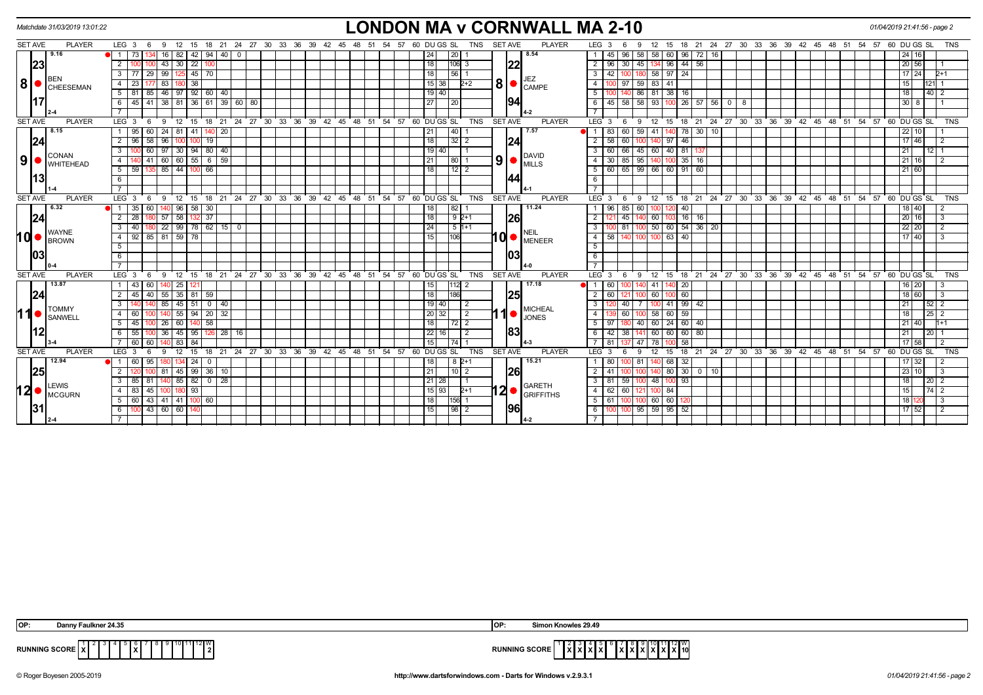|     |                                                                                                                                                                                                                                            | Matchdate 31/03/2019 13:01:22                                  |                                                                                               | <b>LONDON MA v CORNWALL MA 2-10</b>                                                            |                                                                                                         | 01/04/2019 21:41:56 - page 2 |             |                 |
|-----|--------------------------------------------------------------------------------------------------------------------------------------------------------------------------------------------------------------------------------------------|----------------------------------------------------------------|-----------------------------------------------------------------------------------------------|------------------------------------------------------------------------------------------------|---------------------------------------------------------------------------------------------------------|------------------------------|-------------|-----------------|
|     | <b>SET AVE</b>                                                                                                                                                                                                                             | <b>PLAYER</b>                                                  | LEG <sub>3</sub><br>12<br>- 9<br>15<br>- 6                                                    | 18 21 24 27 30 33 36 39 42 45 48 51 54 57 60 DUGS SL<br><b>TNS</b><br><b>SET AVE</b><br>PLAYER | 15 18 21 24 27 30 33 36 39 42 45 48 51 54 57 60 DUGS SL<br>LEG <sub>3</sub><br>12<br>-6<br>9            |                              |             | <b>TNS</b>      |
|     |                                                                                                                                                                                                                                            | 9.16                                                           | 82   42   94   40  <br>73 I<br>16 <sup>1</sup><br>$\blacksquare$<br>$\overline{0}$            | 24<br>8.54<br>20 <sub>l</sub>                                                                  | 58 60 96 72 16<br>58<br>45<br>96                                                                        |                              | 24 16       |                 |
|     | 23                                                                                                                                                                                                                                         |                                                                | 22<br>43<br>30                                                                                | 18<br> 22<br>$ 106 $ 3                                                                         | $44 \mid 56$<br>45<br>$\overline{2}$<br>96<br>96<br>30                                                  |                              | 20 56       |                 |
|     |                                                                                                                                                                                                                                            |                                                                | 77 29 99 125 45 70<br>$\mathbf{3}$                                                            | 18 <br> 56 1                                                                                   | 180 58 97 24<br>$\mathbf{3}$<br>42   100                                                                |                              | $17 \ 24$   | $2+1$           |
|     |                                                                                                                                                                                                                                            | IBEN<br>$\vert 8 \vert$ $\bullet$ $\vert_{\texttt{CHEESEMAN}}$ | 83<br>38 <br>23                                                                               | JEZ<br>8<br>$15 \mid 38$<br>$2 + 2$<br>CAMPE                                                   | 59 83 41<br>$\overline{4}$                                                                              | 15 <sup>1</sup>              |             |                 |
|     |                                                                                                                                                                                                                                            |                                                                | $81$ 85 46 97 92 60 40<br>5                                                                   | 19   40                                                                                        | 86 81 38 16<br>5                                                                                        | 18                           |             | $ 40 $ 2        |
|     |                                                                                                                                                                                                                                            |                                                                | 45   41   38   81   36   61   39   60   80<br>6                                               | 194<br>27<br>120                                                                               | 45 58 58 93<br>100 26 57 56 0 8<br>6                                                                    |                              | $30 \mid 8$ |                 |
|     |                                                                                                                                                                                                                                            |                                                                |                                                                                               |                                                                                                | $\overline{7}$                                                                                          |                              |             |                 |
|     | <b>SET AVE</b>                                                                                                                                                                                                                             | <b>PLAYER</b>                                                  | 12<br>15 18 21 24 27 30 33 36 39 42 45 48 51 54 57 60 DUGS SL<br>LEG <sup>3</sup><br>9<br>- 6 | <b>TNS</b><br><b>SET AVE</b><br><b>PLAYER</b>                                                  | 18 21 24 27 30 33 36 39 42 45 48 51 54 57 60 DUGS SL<br>LEG <sup>3</sup><br>$12 \quad 15$<br>- 6<br>- 9 |                              |             | <b>TNS</b>      |
|     |                                                                                                                                                                                                                                            | 8.15                                                           | 24<br>$81 \ 41$<br>20<br>95<br>-60 I                                                          | 21<br>7.57<br> 40                                                                              | 59<br>$-41$<br>78 30 10<br>83<br>60<br>●I 1 I                                                           |                              | 22 10       |                 |
|     | 24                                                                                                                                                                                                                                         |                                                                | 96<br>58<br>96<br>19                                                                          | 18 <br> 24 <br>32 2                                                                            | 58<br>97   46<br>$\overline{2}$<br>60<br>100                                                            |                              | 17 46       |                 |
|     |                                                                                                                                                                                                                                            |                                                                | 97<br>30<br>$94$ 80 40<br>$\mathbf{3}$<br>60                                                  | 19   40                                                                                        | 60<br>81<br>$\mathbf{3}$<br>45 60<br>40 I<br>66                                                         | 21 I                         |             | 12 <sub>1</sub> |
|     |                                                                                                                                                                                                                                            | CONAN<br>$9$ $\bullet$ $\mathsf{COMAN}$ WHITEHEAD              | $41 \mid 60 \mid 60 \mid 55 \mid 6 \mid 59 \mid$<br>$\overline{4}$                            | <b>DAVID</b><br>9<br>21<br> 80 1<br>$\blacksquare$ MILLS                                       | $100 \ 35 \ 16$<br>30   85   95<br>$\overline{4}$<br>140                                                |                              | $21 \ 16$   |                 |
|     |                                                                                                                                                                                                                                            |                                                                | 35 85 44 100 66<br>5<br>59                                                                    | 18<br> 12 2                                                                                    | $\frac{60}{65}$ 65   99   66   60   91   60<br>5                                                        |                              | 21 60       |                 |
|     | l13l                                                                                                                                                                                                                                       |                                                                | 6                                                                                             | 144                                                                                            | 6                                                                                                       |                              |             |                 |
|     |                                                                                                                                                                                                                                            |                                                                |                                                                                               |                                                                                                | $\overline{7}$                                                                                          |                              |             |                 |
|     | <b>SET AVE</b>                                                                                                                                                                                                                             | <b>PLAYER</b>                                                  | LEG <sub>3</sub><br>12<br>້ 15<br>6<br>9                                                      | 18 21 24 27 30 33 36 39 42 45 48 51 54 57 60 DUGS SL<br>TNS<br><b>SET AVE</b><br><b>PLAYER</b> | 18 21 24 27 30 33 36 39 42 45 48 51 54 57 60 DUGS SL<br>$LEG \ 3$<br>9<br>$12 \quad 15$<br>- 6          |                              |             | TNS             |
|     |                                                                                                                                                                                                                                            | 6.32                                                           | 140 96 58 30<br>35 I<br>60                                                                    | 11.24<br>18<br> 82                                                                             | 60<br>96   85  <br>40<br>100                                                                            |                              | 18 40       |                 |
|     | 24 <br>58 132 37<br>57<br>18<br>$92+1$<br>26<br>60<br>$16$   16<br>$\overline{2}$<br>$\overline{28}$<br>$\overline{2}$<br>45<br>22   99   78   62   15   0<br>24<br>$50 \ 60 \ 54 \ 36 \ 20$<br>$51+1$<br>3<br><b>WAYNE</b><br><b>NEIL</b> |                                                                |                                                                                               | $20 \mid 16$                                                                                   |                                                                                                         |                              |             |                 |
|     |                                                                                                                                                                                                                                            |                                                                |                                                                                               |                                                                                                |                                                                                                         |                              | 22 20       |                 |
| ∣d• |                                                                                                                                                                                                                                            | <b>BROWN</b>                                                   | $85$ 81<br>$59$ 78<br>92<br>$\overline{4}$                                                    | <b>∣0 ●</b><br>15<br>106<br><b>MENEER</b>                                                      | 40<br>$\overline{4}$<br>58<br>63<br>ınr                                                                 |                              | 17140       |                 |
|     |                                                                                                                                                                                                                                            |                                                                | 5                                                                                             |                                                                                                | 5                                                                                                       |                              |             |                 |
|     | 03                                                                                                                                                                                                                                         |                                                                | 6                                                                                             | 103                                                                                            | 6                                                                                                       |                              |             |                 |
|     |                                                                                                                                                                                                                                            |                                                                |                                                                                               |                                                                                                | $\overline{7}$                                                                                          |                              |             |                 |
|     | <b>SET AVE</b>                                                                                                                                                                                                                             | <b>PLAYER</b>                                                  | 21 24 27 30 33 36<br>LEG <sub>3</sub><br>12<br>9<br>15<br>18                                  | <b>SET AVE</b><br><b>PLAYER</b><br>54<br>57<br>60 DU GS SL<br>TNS<br>39 42 45<br>48 51         | LEG <sup>3</sup><br>18 21 24 27 30 33 36<br>12 15<br>39 42 45<br>$48$ 51<br>9<br>- 6                    | 54<br>57 60 DU GS SL         |             | <b>TNS</b>      |
|     |                                                                                                                                                                                                                                            | 13.87                                                          | 43 60<br>-25 I                                                                                | 17.18<br> 112 2<br>$15 \mid$                                                                   | $10\quad20$<br>60 I<br>41                                                                               |                              | 16   20     |                 |
|     | 24                                                                                                                                                                                                                                         |                                                                | 40 55 35 81 59                                                                                | 18 <br>25<br>186                                                                               | 100 60<br>$\overline{2}$<br>60<br>60<br>100                                                             |                              | 18 60       |                 |
|     |                                                                                                                                                                                                                                            | <b>TOMMY</b>                                                   | 85 45 51 0 40                                                                                 | 19 40 <br>2<br><b>MICHEAL</b>                                                                  | $41 \mid 99 \mid 42$<br>$\overline{\cdot \cdot \cdot}$<br>40<br>$7^{\circ}$                             | 21 I                         |             | $52$ 2          |
|     | 11●                                                                                                                                                                                                                                        | SANWELL                                                        | 55   94   20   32<br>$\overline{4}$<br>60                                                     | 20 32<br>$\overline{2}$<br><b>JONES</b>                                                        | 59<br>$\overline{4}$<br>58 60<br>60<br>100                                                              | 18                           |             | 25 2            |
|     |                                                                                                                                                                                                                                            |                                                                | 58<br>60<br>-5<br>45 I<br>26                                                                  | 18<br>72   2                                                                                   | 60<br>60<br>5<br>97<br>40<br>-24 I<br>40                                                                |                              | 21   40     |                 |
|     | 12                                                                                                                                                                                                                                         |                                                                | $100$ 36<br>$126$ 28 16<br>55<br>$145$   95<br>- 6                                            | 83<br>22 16 <br>$\overline{2}$                                                                 | 141 60 60 60 80<br>$42 \mid 38$<br>6                                                                    | 21                           |             | $20$   1        |
|     |                                                                                                                                                                                                                                            |                                                                | 84<br>83<br>60<br>60                                                                          | 15<br>74 I 1<br>$4 - 3$                                                                        | 58<br>71<br>47                                                                                          |                              | $17$ 58     |                 |
|     | <b>SET AVE</b>                                                                                                                                                                                                                             | <b>PLAYER</b>                                                  | LEG <sub>3</sub><br>21 24 27 30 33 36 39 42 45 48 51<br>12<br>15<br>18                        | <b>SET AVE</b><br><b>PLAYER</b><br><b>TNS</b><br>54<br>57<br>60 DU GS SL                       | <b>LEG</b><br>18 21 24 27 30 33 36 39 42 45 48 51<br>12<br>15                                           | 54<br>57<br>60               | DU GS SL    | <b>TNS</b>      |
|     |                                                                                                                                                                                                                                            | 12.94                                                          | 24                                                                                            | 15.21<br>$8P+1$<br>18                                                                          | 32<br>-80<br>81<br>68                                                                                   |                              | 17 32       |                 |
|     | 25                                                                                                                                                                                                                                         |                                                                | $145$ 99 36 10<br>$\overline{2}$<br>100 81                                                    | <b>26</b><br>21<br>$\vert 10 \vert 2$                                                          | $140$ 80 30 0 10<br>$\overline{2}$<br>41<br>100                                                         |                              | 23 10       | $\overline{3}$  |
|     |                                                                                                                                                                                                                                            | <b>LEWIS</b>                                                   | $85 \ 82 \ 0$<br>$\sqrt{28}$<br>81                                                            | 21 28 <br><b>GARETH</b>                                                                        | 48 100 93<br>3 I<br>59<br>-81<br>100                                                                    | 18 I                         |             | 20 2            |
|     |                                                                                                                                                                                                                                            | $12 \bullet  _{\text{MCGURN}}^{\text{LEWIS}}$                  | 83   45  <br>$ 180 $ 93<br>$\overline{4}$<br>100                                              | $12$ $\bullet$ $\frac{GAKE1B}{GRIFFTHS}$<br>15 93 <br>$2+1$                                    | $62$   60<br>4 <sup>1</sup><br>121 100 84                                                               | 15                           |             | $174$ 2         |
|     |                                                                                                                                                                                                                                            |                                                                | 60 43 41 41 100 60<br>5                                                                       | 18<br>$ 156 $ 1                                                                                | $5$ T<br>61<br>60 60<br>100 I                                                                           | 18 12                        |             |                 |
|     | 31                                                                                                                                                                                                                                         |                                                                | $100$ 43 60 60<br>6                                                                           | 96 <br>15<br> 98 2                                                                             | 100 100 95 59 95 52<br>6                                                                                |                              | $17 \ 52$   |                 |
|     |                                                                                                                                                                                                                                            |                                                                |                                                                                               | $7\overline{ }$                                                                                |                                                                                                         |                              |             |                 |

| aulkner 24.35<br>OP:<br>war     | Simon Knowles 29.49<br>ЮI                                           |
|---------------------------------|---------------------------------------------------------------------|
| <b>RUNNING SCORE   X</b><br>. . | 11 I 12 I V<br>.<br><b>INNING SCORE</b><br>$\overline{\phantom{a}}$ |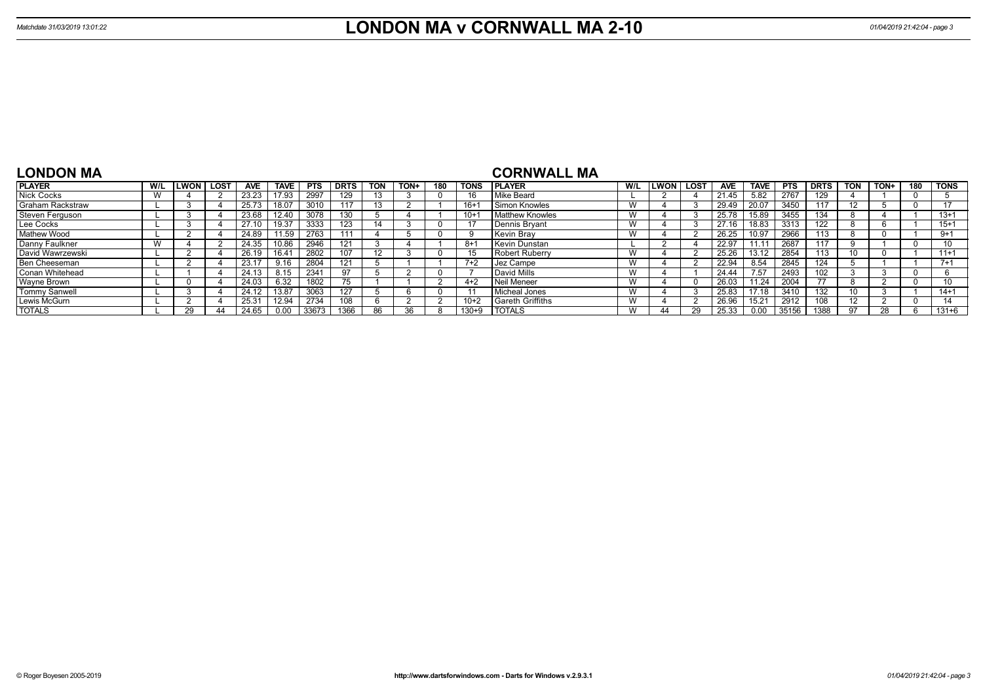| <b>LONDON MA</b>        |   |                |            |             |            |             |            |      |     |             | <b>CORNWALL MA</b>      |     |        |      |            |       |            |             |            |      |     |             |
|-------------------------|---|----------------|------------|-------------|------------|-------------|------------|------|-----|-------------|-------------------------|-----|--------|------|------------|-------|------------|-------------|------------|------|-----|-------------|
| <b>PLAYER</b>           |   | W/L LLWON LOST | <b>AVE</b> | <b>TAVE</b> | <b>PTS</b> | <b>DRTS</b> | <b>TON</b> | TON+ | 180 | <b>TONS</b> | <b>IPLAYER</b>          | W/L | LWON l | LOST | <b>AVE</b> | TAVE  | <b>PTS</b> | <b>DRTS</b> | <b>TON</b> | TON+ | 180 | <b>TONS</b> |
| <b>Nick Cocks</b>       | W |                | 23.23      | 17.93       | 2997       | 129         |            |      |     | 16          | Mike Beard              |     |        |      | 21.45      | 5.82  | 2767       | 129         |            |      |     |             |
| <b>Graham Rackstraw</b> |   |                | 25.73      | 18.07       | 3010       | 117         | 13         |      |     | $16+1$      | Simon Knowles           |     |        |      | 29.49      | 20.07 | 3450       |             |            |      |     | 17          |
| Steven Ferguson         |   |                | 23.68      | 12.40       | 3078       | 130         |            |      |     | $10+1$      | Matthew Knowles         |     |        |      | 25.78      | 15.89 | 3455       | 134         |            |      |     | $13+1$      |
| Lee Cocks               |   |                | 27.10      | 19.37       | 3333       | 123         |            |      |     | 17          | Dennis Bryant           | w   |        |      | 27.16      | 18.83 | 3313       | 122         |            |      |     | $15+1$      |
| Mathew Wood             |   |                | 24.89      | 11.59       | 2763       | 111         |            |      |     | -9          | Kevin Brav              | W   |        |      | 26.25      | 10.97 | 2966       | 113         |            |      |     | $9+1$       |
| Danny Faulkner          |   |                | 24.35      | 10.86       | 2946       | 121         |            |      |     | $8+1$       | Kevin Dunstan           |     |        |      | 22.97      | 11.11 | 2687       |             |            |      |     |             |
| David Wawrzewski        |   |                | 26.19      | 16.41       | 2802       | 107         |            |      |     | 15          | <b>Robert Ruberry</b>   |     |        |      | 25.26      | 13.12 | 2854       |             |            |      |     | $11+1$      |
| Ben Cheeseman           |   |                | 23.17      | 9.16        | 2804       | 121         |            |      |     | $7+2$       | l Jez Campe             |     |        |      | 22.94      | 8.54  | 2845       | 124         |            |      |     | $7+1$       |
| Conan Whitehead         |   |                | 24.13      | 8.15        | 2341       | 97          |            |      |     |             | David Mills             |     |        |      | 24.44      | 7.57  | 2493       |             |            |      |     |             |
| Wayne Brown             |   |                | 24.03      | 6.32        | 1802       | 75          |            |      |     | $4 + 2$     | Neil Meneer             | W   |        |      | 26.03      | 11.24 | 2004       |             |            |      |     | 10          |
| Tommy Sanwell           |   |                | 24.12      | 13.87       | 3063       | 127         |            |      |     | 11          | Micheal Jones           |     |        |      | 25.83      | 17.18 | 3410       | 132         | 10         |      |     | $14+1$      |
| Lewis McGurn            |   |                | 25.31      | 12.94       | 2734       | 108         |            |      |     | $10+2$      | <b>Sareth Griffiths</b> |     |        |      | 26.96      | 15.21 | 2912       |             | 12         |      |     | 14          |
| <b>TOTALS</b>           |   | 29             |            |             | 33673      | 1366        |            | 36   |     | 130+9       | <b>TOTALS</b>           |     | 44     |      |            | 0.00  | 35156      | 1388        | <b>Q7</b>  |      |     | $131 + 6$   |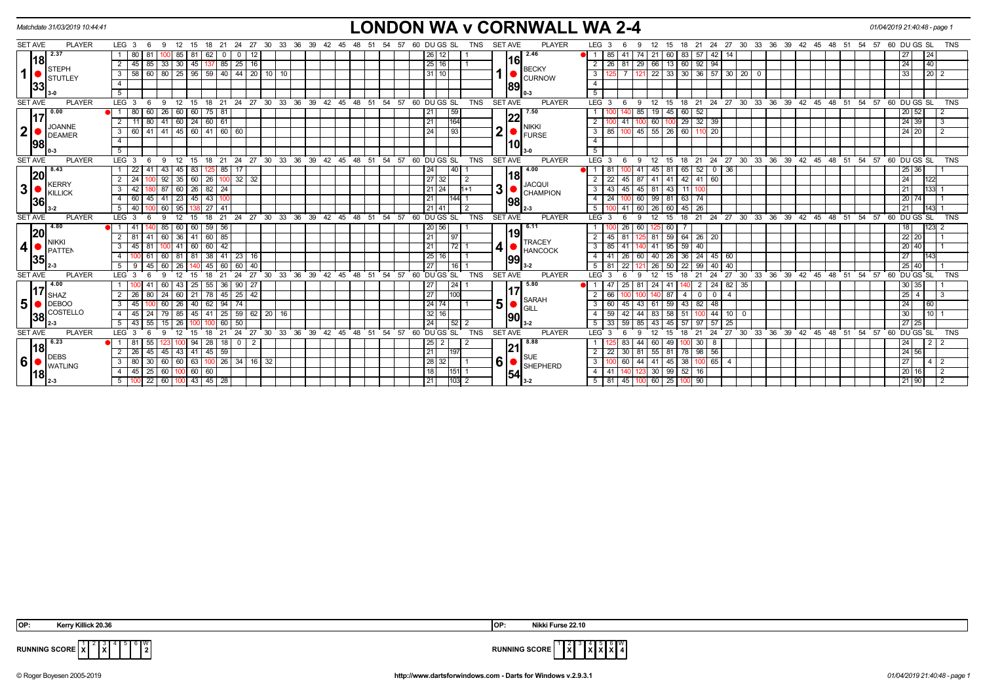| Matchdate 31/03/2019 10:44:41    |                                                                                                      | <b>LONDON WA v CORNWALL WA 2-4</b>                                                                                                                                                | 01/04/2019 21:40:48 - page 1                                        |
|----------------------------------|------------------------------------------------------------------------------------------------------|-----------------------------------------------------------------------------------------------------------------------------------------------------------------------------------|---------------------------------------------------------------------|
| <b>SET AVE</b><br><b>PLAYER</b>  | LEG <sub>3</sub><br>24 27 30 33 36 39 42 45 48 51<br>12<br>18 21<br>- 6<br>-9<br>- 15                | 60 DU GS SL<br><b>SET AVE</b><br><b>PLAYER</b><br>LEG <sub>3</sub><br>18 21 24 27 30 33 36 39 42 45 48 51<br>54 57<br>TNS<br>12<br>- 15                                           | 54 57 60 DU GS SL<br><b>TNS</b>                                     |
| 2.37                             | 12<br>80<br>62<br>85<br>-81<br>$\overline{\mathbf{0}}$                                               | 2.46<br>83<br>26 12 <br>21<br>$57 \mid 42 \mid$<br>14<br>85<br>74 I<br>60<br>-41                                                                                                  | 27<br>24                                                            |
| 18 <br><b>STEPH</b>              | 33<br>16<br>2<br>30<br>85<br>$\sqrt{25}$<br>45<br>85<br>45<br>137                                    | <b>16</b><br>25 16 <br>29<br>60<br>$\overline{2}$<br>26<br>66<br>$92$   94<br> 13 <br><b>BECKY</b>                                                                                | 24<br>40                                                            |
| $\mathbf{1}$<br><b>STUTLEY</b>   | 80   25   95   59   40   44   20   10   10<br>58<br>3<br>-60 I                                       | 22 33 30<br>$36$   57   30  <br>31 10 <br>$\mathbf{3}$<br>121<br>20 0<br><b>CURNOW</b>                                                                                            | 33<br>$20 \overline{2}$                                             |
| 33                               | $\overline{4}$                                                                                       | $\overline{4}$<br> 89                                                                                                                                                             |                                                                     |
|                                  | 5                                                                                                    | $\overline{5}$                                                                                                                                                                    |                                                                     |
| <b>PLAYER</b><br><b>SET AVE</b>  | LEG <sub>3</sub><br>18 21 24 27 30 33 36 39 42 45 48 51 54 57<br>$12 \quad 15$<br>- 6<br>- 9         | <b>PLAYER</b><br>60 DUGS SL<br>TNS<br><b>SET AVE</b><br>LEG <sup>3</sup><br>$^{\circ}$ 12<br>- 15<br>- 6<br>9                                                                     | 18 21 24 27 30 33 36 39 42 45 48 51 54 57 60 DUGS SL<br><b>TNS</b>  |
| 0.00<br>17                       | 80<br>26<br>60 60<br>$75$ 81<br>60                                                                   | 7.50<br>21<br>59<br>85<br>60<br>19 45<br>-52<br> 22                                                                                                                               | 20 52                                                               |
| <b>JOANNE</b>                    | $41 \ 60 \ 24 \ 60 \ 61$<br>$\overline{2}$<br>11<br>80                                               | $29 \mid 32 \mid 39$<br>21<br>164<br>$\overline{2}$<br>60<br>l 41<br><b>NIKKI</b>                                                                                                 | $24 \overline{39}$                                                  |
| $\mathbf{2}$<br><b>DEAMER</b>    | $41 \ 60 \ 60$<br>41 45 60<br>$\mathbf{3}$<br>60<br>l 41 l                                           | 2<br>45<br>$55 \mid 26$<br>60<br>24<br>$\sqrt{93}$<br>3<br>85<br>110 20<br><b>FURSE</b>                                                                                           | 24 20                                                               |
| 98                               | $\overline{4}$                                                                                       | $\overline{4}$<br>10                                                                                                                                                              |                                                                     |
|                                  | $5\overline{)}$                                                                                      | 5                                                                                                                                                                                 |                                                                     |
| <b>SET AVE</b><br><b>PLAYER</b>  | LEG <sub>3</sub><br>24<br>27<br>12<br>18<br>21<br>-6<br>-9<br>15                                     | 30 33 36 39 42 45 48 51<br>$-57$<br>60 DU GS SL<br><b>TNS</b><br><b>SET AVE</b><br><b>PLAYER</b><br>LEG <sup>®</sup><br>24<br>27<br>54<br>21<br>12<br>9<br>-15<br>18<br>-3        | 30 33 36 39 42 45 48 51<br>54 57 60 DU GS SL<br><b>TNS</b>          |
| 8.43<br> 20                      | 43<br>22<br>45<br>83<br>85                                                                           | 4.00<br>65<br>$0$   36<br>24<br> 40 <br>41<br>45<br>52<br>l 81<br>18                                                                                                              | 25 36                                                               |
| <b>KERRY</b>                     | 26<br>$100$ 32<br>32<br>$\overline{2}$<br>24<br>92<br>35<br>  60                                     | 27 32<br>42<br>$\overline{2}$<br>22<br>87<br>41 41<br>$41 \mid 60$<br>45<br><b>JACQUI</b>                                                                                         | 24<br>122                                                           |
| 3 <sup>1</sup><br><b>KILLICK</b> | $82$ 24<br>87<br>3<br>42<br>60 26                                                                    | 3<br>21 24 <br>45 81 43<br>$\overline{\mathbf{3}}$<br>11<br>$11+1$<br>43<br>45<br><b>CHAMPION</b>                                                                                 | 21<br>133                                                           |
| 36                               | $-43$ 100<br>41<br>23<br>$\overline{4}$<br>60<br>l 45<br>45                                          | 60<br>$63 \mid 74$<br>21<br>$\overline{4}$<br>99 81<br> 144  1<br>24<br>98                                                                                                        | 20 74                                                               |
|                                  | 40<br>60<br>$\overline{27}$<br>5 <sub>1</sub><br>95<br>41                                            | 60<br>45<br>21   41<br>5<br>26 60<br>$\overline{2}$<br>26<br>JI 41<br>$2 - 3$                                                                                                     | 21<br>143                                                           |
| <b>SET AVE</b><br><b>PLAYER</b>  | ່ 21<br>LEG <sup>3</sup><br>12<br>18<br>9<br>15<br>-6                                                | 24 27 30 33 36 39 42 45 48 51 54 57 60 DUGS SL<br><b>TNS</b><br><b>PLAYER</b><br><b>SET AVE</b><br><b>LEG</b><br>12<br>-3<br>9<br>15<br>18<br>-6                                  | 21 24 27 30 33 36 39 42 45 48 51 54 57 60 DUGS SL<br>TNS            |
| 4.80<br> 20                      | 59   56<br>85   60<br>$\blacksquare$ 1 1 41<br>60                                                    | 20 56 <br>6.11<br>60<br>26<br>125 60<br>19                                                                                                                                        | $123 - 2$<br>18                                                     |
| NIKKI                            | 60 36 41 60 85<br>2<br>81<br>41 I                                                                    | 21<br>81 59 64 26 20<br>$\overline{2}$<br>45<br>l 81<br><b>TRACEY</b>                                                                                                             | $22$ 20                                                             |
| 4<br><b>PATTEN</b>               | $60$   42<br>$\mathbf{3}$<br>45<br>-41<br>60<br>1001                                                 | 21<br>59<br> 72 1<br>3<br>$85$   41<br>41 95<br>40<br>140.<br><b>HANCOCK</b>                                                                                                      | $20$ 40                                                             |
| 35                               | 38<br>60 81<br>$41 \mid 23$<br>16<br>l 81                                                            | 25<br>36<br>16 I<br>4<br>41<br>$\sqrt{26}$<br>60<br>40 26<br>24 45 60<br> 99                                                                                                      | 27                                                                  |
|                                  | 60<br>45<br>40<br>5<br>26<br>60<br>60                                                                | 27<br>$\overline{22}$<br>40<br>16<br>5 <sup>5</sup><br>22<br>26<br>50<br>99<br>40                                                                                                 | $25$ 40                                                             |
| <b>SET AVE</b><br><b>PLAYER</b>  | 27<br>33<br>36<br>39<br><b>LEG</b><br>30                                                             | <b>TNS</b><br>42<br>45<br>48<br>51<br>54<br>57<br><b>SET AVE</b><br><b>PLAYER</b><br>LEG <sup>'</sup><br>27<br>33<br>36<br>60<br>DU GS SL<br>30                                   | 39<br>48<br>54<br>60 DU GS SL<br>42<br>45<br>51<br>57<br><b>TNS</b> |
| 4.00<br> 17                      | 55<br><b>36</b><br>$\sqrt{90}$<br>27<br>60<br>43<br>25                                               | 27<br> 24 <br>5.80<br>24<br>82<br>81<br>24<br>$\overline{2}$<br>35<br>-25                                                                                                         | 30 35                                                               |
| <b>SHAZ</b>                      | 42<br>24<br>78<br>$45 \mid 25$<br>2<br>60<br>$\sqrt{21}$<br>-26                                      | 27<br>100<br>2<br>87<br>66<br>$\overline{4}$<br>$\Omega$<br>$\Omega$<br>-4<br><b>SARAH</b>                                                                                        | $25 \mid 4$                                                         |
| 5<br>$\bigcup$ DEBOO             | 60<br>62<br>$\mathbf{3}$<br>45<br>26<br>94<br>l 74<br>40 l                                           | 5<br> 24 74 <br>43<br>59<br>43<br>$\mathbf{3}$<br>$82 \mid 48$<br>-60<br>61<br>45<br>GILL                                                                                         | 24<br>60                                                            |
| COSTELLO<br> 38                  | $25 \mid 59$<br>62<br>45<br>79<br>41<br>$20 \mid 16$<br>4<br>85<br>45                                | 32 16 <br>59<br>44<br>$100$ 44<br>10 <sup>1</sup><br>4<br>58<br>51<br>42<br>- 0<br>190                                                                                            | 30 <sub>1</sub><br>10 I                                             |
|                                  | 43<br>15<br>50<br>5<br>26<br>60                                                                      | $\overline{24}$<br>25<br>5<br>85<br>57<br>57<br>45                                                                                                                                | 27 25                                                               |
| <b>PLAYER</b><br><b>SET AVE</b>  | $33^\circ$<br>36<br>LEG <sup>1</sup><br>21<br>24<br>27<br>30<br>39<br>12<br>18<br>$\mathbf{B}$<br>15 | 54<br><b>TNS</b><br><b>SET AVE</b><br><b>PLAYER</b><br>LEG <sup>'</sup><br>ີ 33<br>36<br>42<br>45<br>48<br>51<br>57<br>60 DU GS SL<br>24<br>27<br>30<br>12<br>18<br>21<br>g<br>15 | 48<br>54<br>60 DU GS SL<br><b>TNS</b><br>39<br>42 45<br>51<br>57    |
| 6.23<br> 18                      | $\overline{2}$<br>181<br>28<br>18   0  <br>-94                                                       | 8.88<br>$\overline{2}$<br>25<br>44<br>60 49<br>30   8<br>-2<br>100<br> 21                                                                                                         | 24<br>$2 \mid 2$                                                    |
| <b>DEBS</b>                      | 45<br>45<br>59<br>$\overline{2}$<br>26<br>43<br>l 41<br>45                                           | 21<br>$\overline{2}$<br>81<br>$55$ 81<br>78<br>$98$ 56<br>197<br>22<br>30<br><b>SUE</b>                                                                                           | $\boxed{24}$ 56                                                     |
| $6\vert$<br><b>WATLING</b>       | 80<br>60<br>$60$ 63<br>$100$ 26 34<br>16 32<br>-30 I<br>3 <sup>1</sup>                               | $6 \mid$<br>38<br> 28 <br>3<br>44 41 45<br>$100 \ 65 \ 4$<br>32 I<br>100 60<br>$\overline{1}$<br><b>SHEPHERD</b>                                                                  | 27<br>$4 \mid 2$                                                    |
| 18                               | 45<br>60<br>60<br>25<br>$100$ 60<br>4 I                                                              | 18<br>$30 \mid 99 \mid 52 \mid 16$<br>4<br>41   1<br>$ 151 $ 1<br>123<br> 54                                                                                                      | 20 16                                                               |
|                                  | $5 \mid 100 \mid 22 \mid 60 \mid 100 \mid 43 \mid 45 \mid 28$                                        | 21<br>$ 103 $ 2<br>$5 \mid 81 \mid 45 \mid$<br>100 60 25<br>100 90                                                                                                                | 21 90                                                               |

 $2 \sqrt{3}$ **X** 5 6 W



**RUNNING SCORE**  $\overline{X}$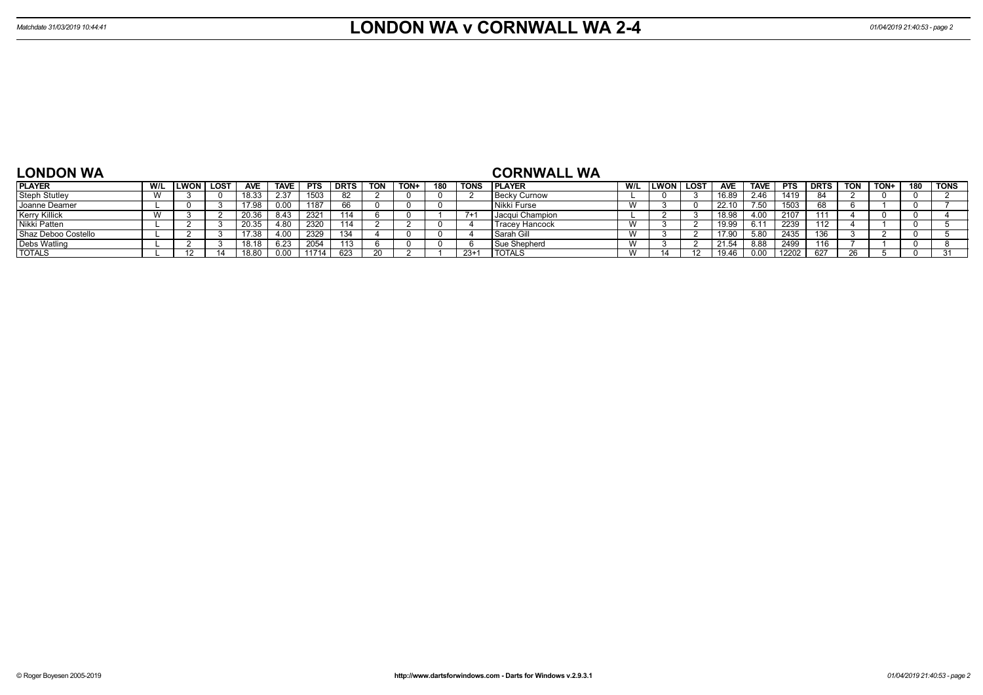## **LONDON WA**

### **CORNWALL WA**

| <b>PLAYER</b>        | LWON | . LOST | <b>AVE</b> | <b>TAVE</b> | <b>PTS</b> | <b>DRTS</b> | <b>TON</b> | TON+ | 180 | <b>TONS</b> | <b>I PLAYER</b>     | W/L | LWON | LOS <sup>®</sup> | <b>AVE</b> | <b>TAVE</b> | <b>PTS</b> | <b>DRTS</b> | <b>TON</b> | TON+ | 180 | <b>TONS</b> |
|----------------------|------|--------|------------|-------------|------------|-------------|------------|------|-----|-------------|---------------------|-----|------|------------------|------------|-------------|------------|-------------|------------|------|-----|-------------|
| <b>Steph Stutley</b> |      |        | 18.33      | 2.37        | 1503       | 82          |            |      |     |             | <b>Becky Curnow</b> |     |      |                  | 16.89      | 2.46        | 1419       | 84          |            |      |     |             |
| Joanne Deamer        |      |        | 17.98      |             | 1187       |             |            |      |     |             | l Nikki Furse       | W   |      |                  | 22.10      | 7.50        | 1503       | 68          |            |      |     |             |
| <b>Kerry Killick</b> |      |        | 20.36      | 8.43        | 2321       | 114         |            |      |     |             | Jacqui Champion     |     |      |                  | 18.98      | 4.00        |            | 111         |            |      |     |             |
| Nikki Patten         |      |        | 20.35      | 80          | 2320       | 114         |            |      |     |             | Tracey Hancock      |     |      |                  | 19.99      | 6.11        | 2239       | 112         |            |      |     |             |
| Shaz Deboo Costello  |      |        | 17.38      |             | 2329       | 131         |            |      |     |             | Sarah Gill          | W   |      |                  | 17.90      | 5.80        | 2435       | 136         |            |      |     |             |
| <b>Debs Watling</b>  |      |        | 18.18      | .23         | 2054       |             |            |      |     |             | <b>Sue Shepherd</b> | W   |      |                  | 1.54       | 8.88        | 2499       | 116         |            |      |     |             |
| <b>TOTALS</b>        |      |        | 18.80      |             | 11714      | 623         | 20         |      |     | $23+7$      | <b>TOTALS</b>       | W   |      | $\overline{A}$   | 19.46      | 0.00        | 12202      | 627         |            |      |     |             |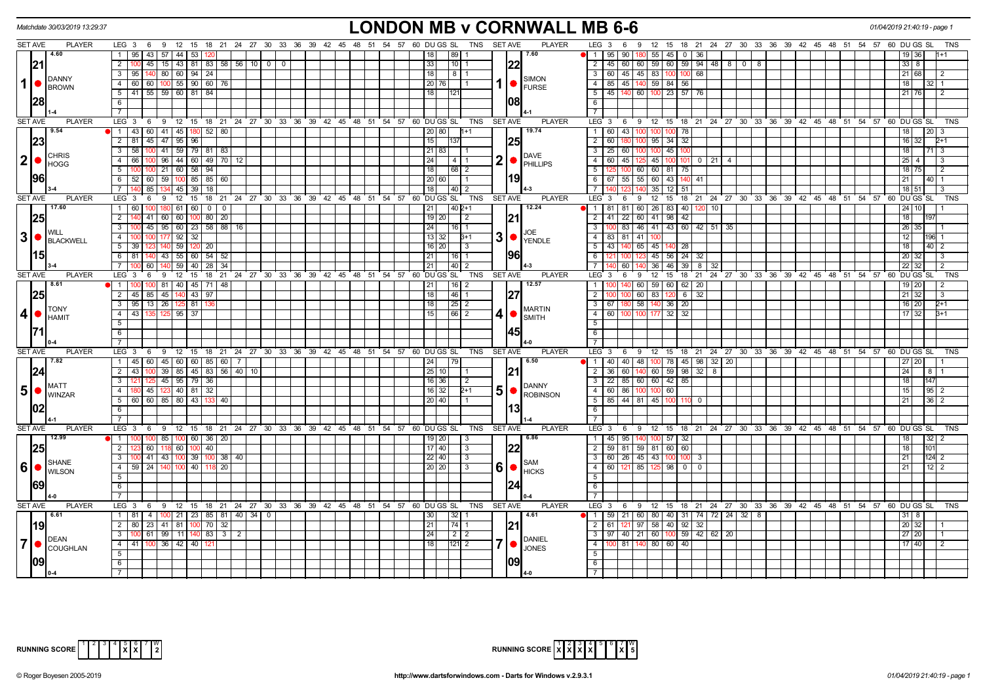|                | Matchdate 30/03/2019 13:29:37                                                                                                                                                                                                                                                                                   |                                                                                                   | <b>LONDON MB v CORNWALL MB 6-6</b>                                                                                                                                                                            | 01/04/2019 21:40:19 - page 1       |
|----------------|-----------------------------------------------------------------------------------------------------------------------------------------------------------------------------------------------------------------------------------------------------------------------------------------------------------------|---------------------------------------------------------------------------------------------------|---------------------------------------------------------------------------------------------------------------------------------------------------------------------------------------------------------------|------------------------------------|
| <b>SET AVE</b> | <b>PLAYER</b>                                                                                                                                                                                                                                                                                                   | LEG 3 6 9 12 15 18 21 24 27 30 33 36 39 42 45 48 51 54 57 60 DUGS SL                              | TNS SET AVE<br><b>PLAYER</b><br>LEG 3 6 9 12 15 18 21 24 27 30 33 36 39 42 45 48 51 54 57 60 DUGS SL                                                                                                          | TNS                                |
|                | 4.60                                                                                                                                                                                                                                                                                                            | 95 43 57 44 53<br>1                                                                               | $1195$ [90]<br>180 55 45 0 36<br>89 I<br>7.60                                                                                                                                                                 |                                    |
|                | 21                                                                                                                                                                                                                                                                                                              | 2   100   45   15   43   81   83   58   56   10   0   0                                           | 22<br>2   45   60   60   59   60   59   94   48   8   0   8<br>33<br> 10 1                                                                                                                                    | $33 \mid 8$                        |
|                | DANNY                                                                                                                                                                                                                                                                                                           | 95   140   80   60   94   24<br>$\overline{3}$                                                    | $3   60   45   45   83   100   100   68$<br> 18 <br>81<br><b>SIMON</b>                                                                                                                                        | 21 68<br>2                         |
| $1$ $\bullet$  | BROWN                                                                                                                                                                                                                                                                                                           | $\frac{60}{60}$ 60 100 55 90 60 76<br>$\overline{4}$                                              | 4 85 45 140 59 84 56<br>  20   76  <br>FURSE                                                                                                                                                                  | 18<br>32.                          |
|                |                                                                                                                                                                                                                                                                                                                 | $5$   41   55   59   60   81   84                                                                 | $5$   45   140   60   100   23   57   76<br>l 18 l<br>1121                                                                                                                                                    | $21 \, 76$<br>$\overline{2}$       |
|                | 28                                                                                                                                                                                                                                                                                                              | 6                                                                                                 | - 6 I                                                                                                                                                                                                         |                                    |
|                |                                                                                                                                                                                                                                                                                                                 | $\overline{7}$                                                                                    | $\overline{7}$                                                                                                                                                                                                |                                    |
| <b>SET AVE</b> | <b>PLAYER</b>                                                                                                                                                                                                                                                                                                   | LEG 3<br>6 9 12 15 18 21 24 27 30 33 36 39 42 45 48 51 54 57 60 DUGS SL                           | <b>SET AVE</b><br><b>PLAYER</b><br>LEG 3 6 9 12 15 18 21 24 27 30 33 36 39 42 45 48 51 54 57 60 DUGS SL<br>TNS                                                                                                | TNS                                |
|                | 9.54                                                                                                                                                                                                                                                                                                            | 1 43 60 41 45 180 52 80                                                                           | 19.74<br>1 60 43 100 100 100 78<br> 20 80 <br>$1 + 1$                                                                                                                                                         | 18 <sup>1</sup><br> 20 <br>3       |
|                | 23                                                                                                                                                                                                                                                                                                              | 2 81 45 47 95 96                                                                                  | 15 <br> 25<br>$\overline{2}$<br>60<br>$95 \mid 34 \mid 32$                                                                                                                                                    | 16 32<br>$2+1$                     |
|                |                                                                                                                                                                                                                                                                                                                 | 100 41 59 79 81 83<br>3 <sup>7</sup><br>58                                                        | 3   25   60<br>100 100 45 100<br> 21 83                                                                                                                                                                       | 18<br>$71 \overline{\phantom{0}3}$ |
| 2 ●            | <b>CHRIS</b>                                                                                                                                                                                                                                                                                                    | 100 96 44 60 49 70 12<br>$\overline{4}$<br>66 I                                                   | <b>DAVE</b><br>$2$ $\bullet$ $\overline{\phantom{a}}$ $\overline{\phantom{a}}$ $\overline{\phantom{a}}$ $\overline{\phantom{a}}$ $\overline{\phantom{a}}$<br>4 60 45 125 45 100 101 0 21 4<br> 24 <br>I 4 I 1 | $25 \quad 4$<br>$\mathcal{B}$      |
|                | <b>I</b> HOGG                                                                                                                                                                                                                                                                                                   | $5 \mid 100 \mid 100 \mid 21 \mid 60 \mid 58 \mid 94$                                             | 18 <br> 68 2<br>51<br>60 60 81 75<br>100                                                                                                                                                                      | 18 75<br>$\overline{2}$            |
|                | 1961                                                                                                                                                                                                                                                                                                            | 6 <sup>1</sup><br>$52 \mid 60 \mid 59 \mid 100 \mid 85 \mid 85 \mid 60$                           | 119<br>6 6 67 55 55 60 43 140 41<br>20 60                                                                                                                                                                     | 21<br>$40$   1                     |
|                |                                                                                                                                                                                                                                                                                                                 | 85   134   45   39   18  <br>$\overline{7}$                                                       | 18 <br>$\overline{40}$ $\overline{2}$<br>71<br>$35$ 12 51                                                                                                                                                     | 18 51<br>3                         |
| <b>SET AVE</b> | <b>PLAYER</b>                                                                                                                                                                                                                                                                                                   | 12<br>$^{\circ}$ 15<br>18 21 24 27 30 33 36 39 42 45 48 51 54 57 60 DUGS SL<br>LEG 3<br>6<br>9    | TNS<br><b>SET AVE</b><br><b>PLAYER</b><br>LEG 3<br>12<br>15<br>18 21 24 27 30 33 36 39 42 45 48 51 54 57 60 DUGS SL<br>6<br>9                                                                                 | TNS                                |
|                | 17.60                                                                                                                                                                                                                                                                                                           | $1 \quad 60$<br>180 61 60 0<br>100 <sup>1</sup><br>$\overline{0}$                                 | 12.24<br> 21 <br>$\sqrt{40}$ 2+1<br>  1   81   81   60   26   83   40   120  <br>10                                                                                                                           | $24 \overline{10}$                 |
|                | 25                                                                                                                                                                                                                                                                                                              | $\overline{2}$<br>41 60 60 100 80 20                                                              | 21<br>2 41 22 60 41 98 42<br>$19$ 20<br>$\vert$ 2                                                                                                                                                             | 18                                 |
|                |                                                                                                                                                                                                                                                                                                                 | $\overline{\mathbf{3}}$<br>45   95   60   23   58   88   16                                       | 3   100   83   46   41   43   60   42   51   35<br> 24 <br>16   1                                                                                                                                             | $26 \overline{)35}$                |
|                | <b>WILL</b>                                                                                                                                                                                                                                                                                                     | $\overline{4}$<br>177<br>$92$   32                                                                | JOE<br>  13   32<br>$3+1$<br>4 I<br>83   81<br>41                                                                                                                                                             | 12<br>196 1                        |
|                |                                                                                                                                                                                                                                                                                                                 | 59 120 20<br>5 <sup>5</sup><br>140<br>- 39                                                        | $3$ $\bullet$ $\vert_{\text{YENDLE}}$<br>140 65 45 140 28<br>$5 \mid 43$<br>16   20  <br>  3                                                                                                                  | 18<br>$40\overline{2}$             |
|                |                                                                                                                                                                                                                                                                                                                 | 81   140   43   55   60   54  <br>$6\overline{6}$<br>52                                           | 196<br>45 56 24 32<br> 21 <br>l 16 I 1<br>6                                                                                                                                                                   | 20 32<br>3                         |
|                |                                                                                                                                                                                                                                                                                                                 | $7^{\circ}$<br>60 140<br>59 40<br>28<br>-34                                                       | 40 2<br>- 7 I<br>140 36 46<br>$39 \mid 8$<br> 21 <br>60<br>32                                                                                                                                                 | 22 32<br>2                         |
| SET AVE        | <b>PLAYER</b>                                                                                                                                                                                                                                                                                                   | LEG <sub>3</sub><br>ີ 12<br>18 21 24 27 30 33 36 39 42 45 48 51 54 57 60 DUGS SL<br>15<br>-6<br>9 | <b>PLAYER</b><br>TNS<br><b>SET AVE</b><br>LEG <sub>3</sub><br>12 15 18 21 24 27 30 33 36 39 42 45 48 51 54 57 60 DUGS SL<br>6<br>9                                                                            | TNS                                |
|                | 8.61                                                                                                                                                                                                                                                                                                            | $1 \vert$<br>-81 I<br>40   45   71                                                                | 12.57<br>60 59 60<br>- 1 - I<br>$62$   20<br> 21 <br>16   2                                                                                                                                                   | 19 20                              |
|                |                                                                                                                                                                                                                                                                                                                 | $2$   45   85   45   140   43  <br>97                                                             | 46 1<br>2<br>60 83 120<br>18<br>6 32                                                                                                                                                                          | $21 \overline{32}$<br>3            |
|                | 25                                                                                                                                                                                                                                                                                                              | 95 13 26 125 81<br>$\overline{3}$                                                                 | 58 140 36 20<br>$\overline{18}$<br>$\sqrt{25}$ 2<br>$3 \mid 67$<br>180                                                                                                                                        | $16$ 20<br>$2+1$                   |
| 4              | <b>I</b> TONY                                                                                                                                                                                                                                                                                                   | $125$ 95 37<br>$\overline{4}$<br>43 <sup>1</sup><br>135                                           | <b>MARTIN</b><br>66 2<br>$4 \overline{60}$<br>100 177 32<br>32<br>l 15 l                                                                                                                                      | $17 \mid 32$<br>$3+1$              |
|                | HAMIT                                                                                                                                                                                                                                                                                                           | 5                                                                                                 | 4 I<br>$\blacksquare$ SMITH                                                                                                                                                                                   |                                    |
|                |                                                                                                                                                                                                                                                                                                                 | 6                                                                                                 | 5 <sup>5</sup>                                                                                                                                                                                                |                                    |
|                |                                                                                                                                                                                                                                                                                                                 | $\overline{7}$                                                                                    | 6<br>$\overline{7}$                                                                                                                                                                                           |                                    |
|                | <b>PLAYER</b>                                                                                                                                                                                                                                                                                                   | LEG <sub>3</sub>                                                                                  | <b>TNS</b><br><b>SET AVE</b><br><b>PLAYER</b><br>$LEG_3$                                                                                                                                                      |                                    |
| <b>SET AVE</b> | 7.82                                                                                                                                                                                                                                                                                                            | 6 9 12 15 18 21 24 27 30 33 36 39 42 45 48 51 54 57 60 DUGS SL                                    | 9 12 15 18 21 24 27 30 33 36 39 42 45 48 51 54 57 60 DUGS SL<br>6<br>6.50                                                                                                                                     | TNS                                |
|                |                                                                                                                                                                                                                                                                                                                 | $1$   45   60   45   60   60   85   60   7                                                        | ●   1   40   40   48   100   78   45   98   32   20  <br>79<br> 24                                                                                                                                            | 27 20                              |
|                | 24                                                                                                                                                                                                                                                                                                              | $\overline{2}$<br>100 39 85 45 83 56 40<br>43<br>10                                               | 25 10 <br> 21<br>2 36 60<br>$140 \t60 \t59 \t98 \t32$<br>$\overline{8}$                                                                                                                                       | 24<br>8                            |
|                | <b>I</b> MATT                                                                                                                                                                                                                                                                                                   | 125 45 95 79 36<br>$\overline{3}$                                                                 | 3   22   85   60   60   42   85<br>16 36 <br>$\sqrt{2}$<br><b>DANNY</b>                                                                                                                                       | 18<br>147                          |
| $5\bullet$     | <b>I</b> WINZAR                                                                                                                                                                                                                                                                                                 | 180 45 123 40 81 32<br>$\overline{4}$                                                             | $50$ $\sim$ $\sim$<br>4 60 86 100 100 60<br>  16   32  <br>$2 + 1$                                                                                                                                            | 15 <sup>1</sup><br>$95 \mid 2$     |
|                |                                                                                                                                                                                                                                                                                                                 | 5   60   60   85   80   43   133<br>40                                                            | 5   85   44   81   45   100   110   0<br>  20   40                                                                                                                                                            | 21<br>$36 \quad 2$                 |
|                |                                                                                                                                                                                                                                                                                                                 | 6                                                                                                 | 13<br>6                                                                                                                                                                                                       |                                    |
|                |                                                                                                                                                                                                                                                                                                                 | $\overline{7}$                                                                                    | <b>7</b> I                                                                                                                                                                                                    |                                    |
| <b>SET AVE</b> | <b>PLAYER</b>                                                                                                                                                                                                                                                                                                   | 9 12 15 18 21 24 27 30 33 36 39 42 45 48 51 54 57 60 DUGS SL<br>LEG $3 \t6$                       | 6 9 12 15 18 21 24 27 30 33 36 39 42 45 48 51 54 57 60 DUGSSL<br>TNS<br><b>SET AVE</b><br><b>PLAYER</b><br>LEG 3                                                                                              | TNS                                |
|                | 12.99                                                                                                                                                                                                                                                                                                           | 100 85 100 60 36 20<br>$\overline{1}$                                                             | 6.86<br>1   45   95   140   100   57  <br>32<br>$19$ 20<br>$\vert$ 3                                                                                                                                          | 32 <br>18<br>2                     |
|                | 25                                                                                                                                                                                                                                                                                                              | 60 118 60 100 40<br>2                                                                             | 22 <br>2 59 81 59 81 60 60<br>$17$ 40<br>l 3                                                                                                                                                                  | 18<br>101                          |
|                | SHANE                                                                                                                                                                                                                                                                                                           | $3-1$<br>0 41 43 100 39 100<br>38   40                                                            | 3   60   26   45   43   100   100   3<br>22 40<br>l 3<br>SAM                                                                                                                                                  | 21<br>124 2                        |
|                | $ 6 $ $ $ $\frac{1}{2}$ $\frac{1}{2}$ $\frac{1}{2}$ $\frac{1}{2}$ $\frac{1}{2}$ $\frac{1}{2}$ $\frac{1}{2}$ $\frac{1}{2}$ $\frac{1}{2}$ $\frac{1}{2}$ $\frac{1}{2}$ $\frac{1}{2}$ $\frac{1}{2}$ $\frac{1}{2}$ $\frac{1}{2}$ $\frac{1}{2}$ $\frac{1}{2}$ $\frac{1}{2}$ $\frac{1}{2}$ $\frac{1}{2}$ $\frac{1}{2}$ | $\overline{4}$<br>59 24 140 100 40<br>20                                                          | $60$ $\sim$ $\sim$<br>4 60 121 85 125 98<br>20 20<br>$\mathbf{B}$<br>0 1 0                                                                                                                                    | 21<br>$12 \mid 2$                  |
|                |                                                                                                                                                                                                                                                                                                                 | $5\overline{)}$                                                                                   | $5\overline{)}$                                                                                                                                                                                               |                                    |
|                | 1691                                                                                                                                                                                                                                                                                                            | 6                                                                                                 | 6                                                                                                                                                                                                             |                                    |
|                |                                                                                                                                                                                                                                                                                                                 | $7\overline{ }$                                                                                   | $\overline{7}$                                                                                                                                                                                                |                                    |
| <b>SET AVE</b> | <b>PLAYER</b>                                                                                                                                                                                                                                                                                                   | LEG 3 6 9 12 15 18 21 24 27 30 33 36 39 42 45 48 51 54 57 60 DUGS SL                              | <b>PLAYER</b><br>TNS<br><b>SET AVE</b><br>LEG 3<br>6 9 12 15 18 21 24 27 30 33 36 39 42 45 48 51 54 57 60 DUGS SL                                                                                             | TNS                                |
|                | 16.61                                                                                                                                                                                                                                                                                                           | 1 81 4 100 21 23 85 81 40 34                                                                      | ●   1   59   21   60   80   40   31   74   72   24   32   8<br> 32 <br>4.61                                                                                                                                   | -8                                 |
|                | <u> 19 </u>                                                                                                                                                                                                                                                                                                     | 2 80 23 41 81 100 70 32                                                                           | 2 61 121 97 58 40 92 32<br>$74$ 1<br> 21<br> 21                                                                                                                                                               | $20 \overline{32}$                 |
|                | <b>I</b> DEAN                                                                                                                                                                                                                                                                                                   | 3   100   61   99   11   140   83  <br>3   2                                                      | 3   97   40   21   60  <br>$59 \mid 42 \mid 62 \mid 20$<br> 24 <br>  2   2<br>100 <sub>l</sub><br><b>DANIEL</b>                                                                                               | $27$ 20                            |
| $\overline{7}$ | <b>COUGHLAN</b>                                                                                                                                                                                                                                                                                                 | $4$   41   100   36   42   40  <br>12.                                                            | 18 <br>$121$ 2<br>$-4$<br><b>JONES</b>                                                                                                                                                                        | 17 40<br>$\mathcal{P}$             |
|                |                                                                                                                                                                                                                                                                                                                 | $\overline{5}$                                                                                    | 5                                                                                                                                                                                                             |                                    |
|                | 1091                                                                                                                                                                                                                                                                                                            | 6                                                                                                 | 6                                                                                                                                                                                                             |                                    |
|                |                                                                                                                                                                                                                                                                                                                 | $\overline{7}$                                                                                    |                                                                                                                                                                                                               |                                    |



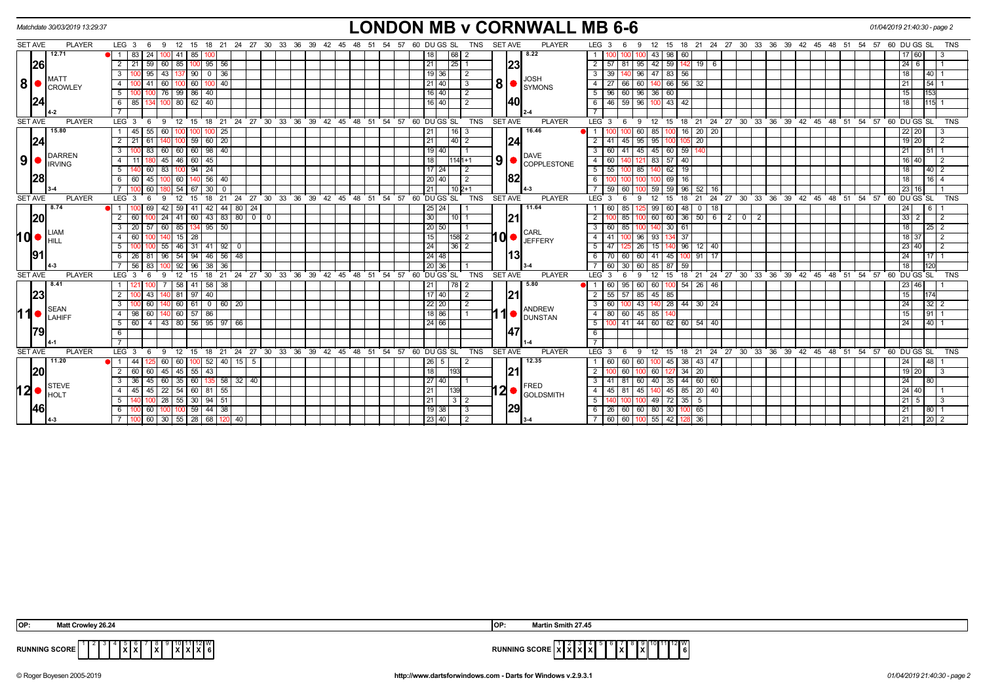|                | Matchdate 30/03/2019 13:29:37 |                                                             | <b>LONDON MB v CORNWALL MB 6-6</b>                                                                       | 01/04/2019 21:40:30 - page 2                                                                             |                  |
|----------------|-------------------------------|-------------------------------------------------------------|----------------------------------------------------------------------------------------------------------|----------------------------------------------------------------------------------------------------------|------------------|
| <b>SET AVE</b> | <b>PLAYER</b>                 | $LEG_3 6$<br>12 15<br>- 9                                   | 18 21 24 27 30 33 36 39 42 45 48 51 54 57 60 DU GS SL<br><b>PLAYER</b><br><b>SET AVE</b><br>TNS          | 15 18 21 24 27 30 33 36 39 42 45 48 51 54 57<br>LEG <sub>3</sub><br>60 DU GS SL<br>12<br>9<br>-6         | <b>TNS</b>       |
|                | 12.71                         | 83 24<br>$41 \mid 85$<br>1 <sup>1</sup>                     | 8.22<br>18<br>  68   2                                                                                   | 98   60<br>43<br>60                                                                                      |                  |
|                | 26                            | 95<br>$\overline{2}$<br>59<br>60<br>85<br>56<br>21          | 23<br>21<br>$25$   1                                                                                     | 59<br>$2 \mid 57$<br>42<br>19<br>- 6<br>$24 \overline{6}$<br>-81<br>95                                   |                  |
|                |                               | $137$   90   0<br>$\sqrt{36}$<br>95<br>43                   | 19 36 <br>l 2                                                                                            | 140 96 47 83 56<br>3   39                                                                                | $40$   1         |
| 8 ●            | <b>I</b> MATT<br>CROWLEY      | 60<br>40                                                    | <b>JOSH</b><br>$80$ $\sigma$ symons<br> 21 40 <br>  3                                                    | 66 56<br>21<br>4   27<br>32<br>66<br>60                                                                  | $\overline{54}$  |
|                |                               | 76<br>99   86   40<br>5                                     | $\sqrt{2}$<br>16   40                                                                                    | $5$   96<br>60 96 36 60<br>15                                                                            | 153              |
|                | 24                            | $80$   $62$  <br>40<br>85 I                                 | 140<br>16   40                                                                                           | $43 \mid 42$<br>6   46<br>59   96  <br>18                                                                | $115 - 1$        |
|                |                               |                                                             |                                                                                                          |                                                                                                          |                  |
| <b>SET AVE</b> | <b>PLAYER</b>                 | LEG <sub>3</sub><br>12<br>15<br>່ 18 ່ 21<br>24<br>- 6<br>9 | 27 30 33 36 39 42 45 48 51 54 57<br><b>PLAYER</b><br>60 DU GS SL<br><b>TNS</b><br><b>SET AVE</b>         | 15 18 21 24 27 30 33 36 39 42 45 48 51<br>54 57 60 DU GS SL<br>LEG <sub>3</sub><br>12<br>- 9<br>- 6      | <b>TNS</b>       |
|                | 15.80                         | 25<br>45<br>55<br>60                                        | 16.46<br>$\sqrt{21}$<br>  16   3                                                                         | 100 16 20 20<br>85<br>22 20                                                                              | 3                |
|                | 24                            | $\sqrt{20}$<br>59<br>60                                     | 24<br>21<br>40   2                                                                                       | $\overline{20}$<br>19 20<br>95<br>41<br>45   95                                                          | $\overline{2}$   |
|                | DARREN                        | 60<br>98<br>40<br>60<br>60 l<br>3                           | 19   40<br><b>DAVE</b>                                                                                   | 45<br>3   60<br>60<br>59<br>41<br>45<br>140<br>21                                                        | 51               |
| 9 ●            | <b>IRVING</b>                 | 45<br>45<br>46 I<br>60                                      | $\left  9 \right $ $\bullet$ Copplestone<br>18<br>$1141+1$                                               | $4 \mid 60$<br>83<br>57 40<br>16 40                                                                      | $\overline{2}$   |
|                |                               | 24<br>5<br>94<br>60                                         | $17 \mid 24$<br>$\sqrt{2}$                                                                               | $5 \mid 55$<br>62<br>19<br>18                                                                            | 40   2           |
|                | 28                            | $56$   40<br>60 I<br>45<br>-60 I                            | 82<br> 20 40 <br>$\sqrt{2}$                                                                              | 6<br>69   16<br>18                                                                                       | $16$   4         |
|                |                               | 60<br>54<br>30                                              | $10 2+1$<br>21                                                                                           | 59<br>59<br>59<br>96<br>52<br>23 16<br>60<br>16                                                          |                  |
| <b>SET AVE</b> | <b>PLAYER</b>                 | LEG <sub>3</sub><br>21<br>24<br>15                          | 27 30 33 36 39 42 45 48 51 54 57 60 DUGS SL<br><b>TNS</b><br><b>SET AVE</b><br><b>PLAYER</b>             | 24 27 30 33 36 39 42 45 48 51 54 57 60 DUGS SL<br>LEG <sup>3</sup><br>21                                 | <b>TNS</b>       |
|                | 8.74                          | 42<br>44<br>$80$ 24<br>42<br>59 I                           | 11.64<br> 25 24                                                                                          | 99<br>60<br>24<br>60<br>85<br>48<br>$\mathbf 0$<br>18                                                    | 6                |
|                | 20                            | 41 60 43 83 80 0 0<br>24<br>60 I                            | 21<br>30<br>11011                                                                                        | $100 \ 60 \ 60 \ 36 \ 50 \ 6 \ 2 \ 0 \ 2$<br>$33 \mid 2$<br>85                                           | $\overline{2}$   |
|                | <b>ILIAM</b>                  | 95   50<br>60<br>-85 I<br>20                                | 20 50<br>CARL                                                                                            | 30<br>85<br>18<br>3   60<br>140<br>61                                                                    | $25\overline{2}$ |
| 1d•            | IHILL                         | $15 \mid 28$<br>60 I<br>4                                   | 10 ● <br>15<br>$158$ 2<br><b>JEFFERY</b>                                                                 | $96 \mid 93$<br>134 37<br>18 37<br>4   41                                                                | $\overline{2}$   |
|                |                               | $92$ 0<br>55<br>46 I<br>31<br>41                            | 24<br> 36 2                                                                                              | 23   40<br>15<br>l 96 l<br>$12 \mid 40$<br>-47<br>26                                                     | $\overline{2}$   |
|                | 191                           | 54 94 46 56 48<br>26 81<br>96                               | 13<br> 24 48                                                                                             | $6 \mid 70$<br>60 60 41 45 100<br>$91$ 17<br>24                                                          | $17$ 1           |
|                |                               | 56<br>92<br>38<br>36<br>83<br>96                            | 20 36                                                                                                    | 60<br>85<br>87<br>59<br>18<br>30<br>60 I                                                                 |                  |
| <b>SET AVE</b> | <b>PLAYER</b>                 | 27 30 33 36<br>LEG <sub>3</sub><br>21<br>24<br>15<br>18     | 39 42 45 48 51 54 57<br><b>TNS</b><br><b>SET AVE</b><br><b>PLAYER</b><br>60 DU GS SL                     | 18 21 24 27 30 33 36 39 42 45 48 51 54 57<br>60 DU GS SL<br>LEG <sup>3</sup><br>12<br>15                 | <b>TNS</b>       |
|                | 8.41                          | 58<br>58 I<br>$\vert$ 38<br>41                              | 5.80<br>21<br>17812                                                                                      | 60<br>95   60<br>60<br>26<br>$100$ 54<br>46<br>23 46                                                     |                  |
|                | 23                            | 40<br>81<br>97<br>43                                        | 21<br> 17 40 <br>  2                                                                                     | 45<br>$2 \mid 55$<br>85<br>57<br>85                                                                      |                  |
|                | SEAN                          | 60   61  <br>0   60   20<br>60                              | 22 20<br>$\vert$ 2<br><b>ANDREW</b>                                                                      | 140 28 44 30 24<br>3   60<br>24<br>l 43 l                                                                | $32$   2         |
| 11●            | LAHIFF                        | 60   57<br>86<br>4<br>98                                    | 18 86<br><b>DUNSTAN</b>                                                                                  | $4 \mid 80$<br>$60$ 45 85                                                                                | 91               |
|                |                               | 43 80 56 95 97 66<br>60 I<br>$\overline{4}$<br>-5           | 24 66                                                                                                    | $41$ 44 60 62 60 54 40<br>5 <sub>1</sub><br>24                                                           | 40               |
|                | 79                            |                                                             | 47                                                                                                       | 6                                                                                                        |                  |
|                |                               |                                                             |                                                                                                          |                                                                                                          |                  |
| <b>SET AVE</b> | <b>PLAYER</b>                 | 21 24 27 30 33 36<br>LEG 3<br>12<br>15<br>- 18<br>- 6<br>-9 | $39 \quad 42$<br>48 51<br>60 DU GS SL<br><b>TNS</b><br><b>SET AVE</b><br><b>PLAYER</b><br>45<br>54<br>57 | LEG <sub>3</sub><br>15 18 21 24 27 30 33 36 39 42 45 48 51<br>60 DU GS SL<br>- 9<br>- 12<br>54 57<br>- 6 | TNS              |
|                | 11.20                         | 44<br>60<br>-60 I<br>$52$ 40 15<br>-5                       | 12.35<br>$26 \mid 5$                                                                                     | 1   60<br>60   60  <br>45<br>38 <sup>1</sup><br>43   47<br>100<br>24                                     | 48               |
|                | 20                            | 45 55 <br>43<br>2<br>-60 I<br>60<br>45                      | 21<br>18<br>193                                                                                          | 2 <sub>1</sub><br>20<br>19 20<br>60<br>60<br>34<br>127                                                   | 3                |
|                | STEVE                         | 60<br>60 135<br> 58 32 40<br>36<br>45<br>35 I               | 27 40<br><b>FRED</b>                                                                                     | 60 40<br>$35 \mid 44 \mid 60 \mid 60$<br>$3 \mid 41$<br>81<br>24                                         | 80               |
| 12∣∙           | <b>I</b> HOLT                 | 22<br>45 I<br>54 60 81 55<br>4<br>45                        | 2●<br>21<br><b>GOLDSMITH</b>                                                                             | $45 \mid 85 \mid$<br>20 40<br>$24 \overline{)40}$<br>4 I<br>45<br>45<br>-81<br>140                       |                  |
|                |                               | 28<br>30   94   51<br>55<br>5                               | 21 <br>3 2                                                                                               | 49<br>72<br>35<br>5<br>$\overline{21}$ 5                                                                 |                  |
|                | 46                            | $100$ 59 44 38<br>100 60                                    | 29<br>$19 \mid 38 \mid$<br>  3                                                                           | 60 60 80<br>30 100 65<br>21<br>6   26                                                                    | 80               |
|                |                               | $60$ 30<br>55 28 68 120<br>$\sqrt{40}$                      | 23 40 <br>T 2                                                                                            | 7   60<br>$60$ 100 55 42<br>3 36<br>21                                                                   | $20$   2         |

| OP:<br>Matt Crowley 26.24                           | <b>Aartin Smith 27.45</b><br>IOP:                     |
|-----------------------------------------------------|-------------------------------------------------------|
| <b>RUNNING SCORE</b><br>.<br>1 A I<br>I A I A I<br> | <b>RUNNING SCORE</b><br>IX.<br>.<br>1 A I<br>. .<br>. |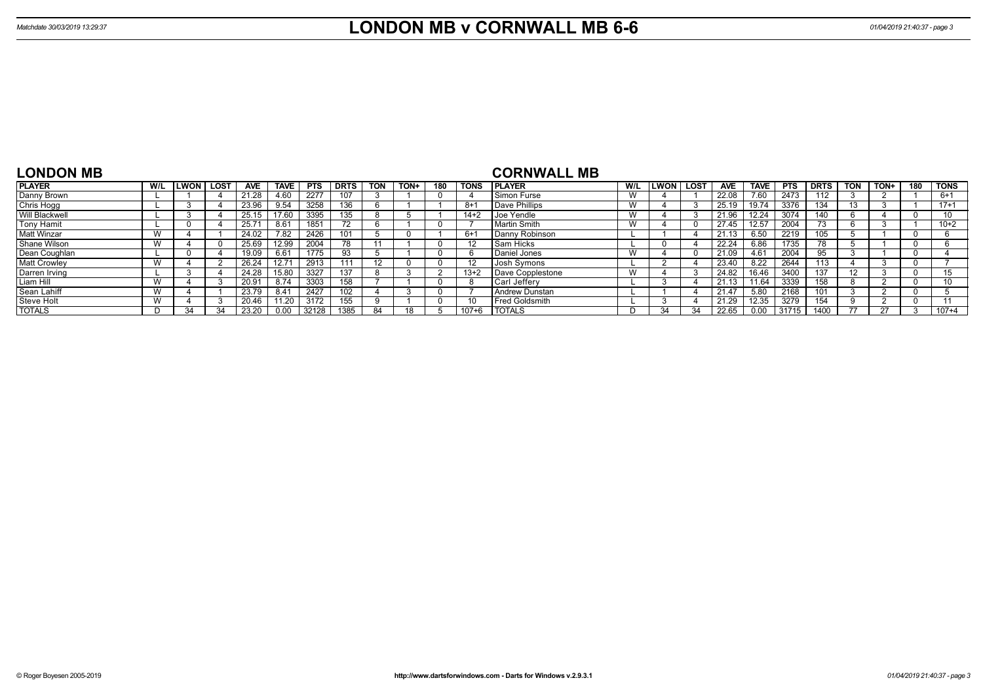| <b>LONDON MB</b>      |     |             |      |                |             |            |             |            |      |     |             | <b>CORNWALL MB</b>    |                             |        |      |            |             |            |             |                   |      |     |             |
|-----------------------|-----|-------------|------|----------------|-------------|------------|-------------|------------|------|-----|-------------|-----------------------|-----------------------------|--------|------|------------|-------------|------------|-------------|-------------------|------|-----|-------------|
| <b>PLAYER</b>         | W/L | <b>LWON</b> | LOST | <b>AVE</b>     | <b>TAVE</b> | <b>PTS</b> | <b>DRTS</b> | <b>TON</b> | TON+ | 180 | <b>TONS</b> | <b>IPLAYER</b>        | W/L                         | LWON l | LOST | <b>AVE</b> | <b>TAVE</b> | <b>PTS</b> | <b>DRTS</b> | <b>TON</b>        | TON+ | 180 | <b>TONS</b> |
| Danny Brown           |     |             |      | 21.28          | 4.60        | 2277       | 107         |            |      |     |             | Simon Furse           | <b>VV</b>                   |        |      | 22.08      | 7.60        | 2473       | 112         |                   |      |     | $6+1$       |
| Chris Hogg            |     |             |      | 23.96          | 9.54        | 3258       | 136         |            |      |     | $8 + 1$     | Dave Phillips         | $\lambda$<br><b>VV</b>      |        |      | 25.19      | 19.74       | 3376       | 134         |                   |      |     | $17 + 1$    |
| <b>Will Blackwell</b> |     |             |      | 25.15          | 7.60        | 3395       | 135         |            |      |     | $14+2$      | Joe Yendle            |                             |        |      | 21.96      | 12.24       | 3074       | 140         | n                 |      |     |             |
| <b>Tony Hamit</b>     |     |             |      | $25.7^{\circ}$ | 8.61        | 1851       |             |            |      |     |             | Martin Smith          |                             |        |      | 27.45      | 12.57       | 2004       | 73          | n                 |      |     | $10+2$      |
| <b>Matt Winzar</b>    | W   |             |      | 24.02          | 7.82        | 2426       |             |            |      |     | $6 + 1$     | Danny Robinson        |                             |        |      | 21.13      |             | 2219       | 105         |                   |      |     |             |
| Shane Wilson          | W   |             |      | 25.69          | 12.99       | 2004       | 78          |            |      |     | 12          | Sam Hicks             |                             |        |      | 22.24      | 6.86        | 1735       | 78          |                   |      |     |             |
| Dean Coughlan         |     |             |      | 19.09          | 6.61        | 1775       | 93          |            |      |     | 'n          | Daniel Jones          |                             |        |      | 21.09      | 4.61        | 2004       | 95          |                   |      |     |             |
| <b>Matt Crowley</b>   | W   |             |      | 26.24          | 12.71       | 2913       |             | 12         |      |     | -12         | Josh Symons           |                             |        |      | 23.40      | 8.22        | 2644       | 113         |                   |      |     |             |
| Darren Irving         |     |             |      | 24.28          | 15.80       | 3327       | 137         |            |      |     | $13+2$      | Dave Copplestone      | $\overline{M}$<br><b>VV</b> |        |      | 24.82      | 16.46       | 3400       | 137         | $12 \overline{ }$ |      |     | 15          |
| Liam Hill             | W   |             |      | 20.9           | 8.74        | 3303       | 158         |            |      |     |             | Carl Jefferv          |                             |        |      | 21.13      | 11.64       | 3339       | 158         |                   |      |     | 10          |
| Sean Lahiff           | W   |             |      | 23.79          | 8.41        | 2427       | 102         |            |      |     |             | l Andrew Dunstan      |                             |        |      | 21.47      | 5.80        | 2168       | 101         |                   |      |     |             |
| <b>Steve Holt</b>     | W   |             |      | 20.46          | 11.20       | 3172       | 155         |            |      |     | -10         | <b>Fred Goldsmith</b> |                             |        |      | 21.29      | 12.35       | 3279       | 154         |                   |      |     |             |
| <b>TOTALS</b>         |     | 34          | 31   | 23.20          | 0.00        | 32128      | 1385        | 84         |      |     | 107+6       | <b>I TOTALS</b>       |                             | 31     | 34   | 22.65      |             | 31715      | 1400        | 77                | 27   |     | $107 + 4$   |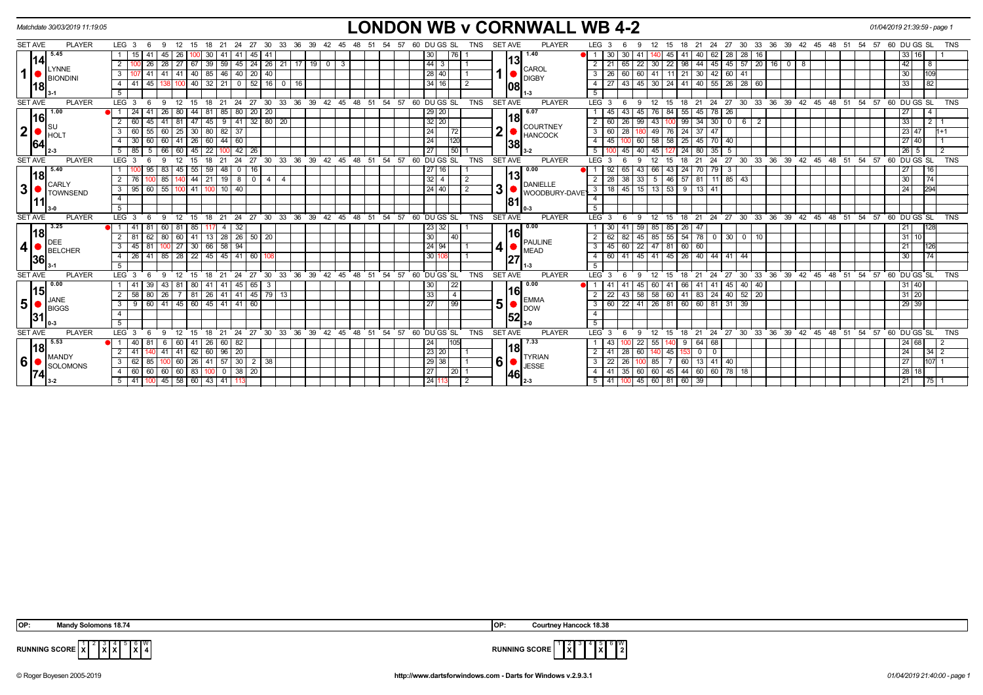|                | Matchdate 30/03/2019 11:19:05 |                                                                                             |                                                        | <b>LONDON WB v CORNWALL WB 4-2</b>                                                                                                         | 01/04/2019 21:39:59 - page 1    |
|----------------|-------------------------------|---------------------------------------------------------------------------------------------|--------------------------------------------------------|--------------------------------------------------------------------------------------------------------------------------------------------|---------------------------------|
| <b>SET AVE</b> | <b>PLAYER</b>                 | LEG <sub>3</sub><br>30<br>33<br>36<br>39<br>- 6<br>-9<br>-21<br>24<br>-27                   | 60 DU GS SL<br>TNS<br>57                               | PLAYER<br>LEG <sub>3</sub><br><b>SET AVE</b><br>- 27<br>30<br>33<br>36<br>39<br>- 42<br>- 51<br>-21<br>24<br>- 45<br>48<br>-54<br>15<br>18 | 60 DU GS SL<br><b>TNS</b><br>57 |
|                | 5.45                          | 41                                                                                          | 76 I                                                   | 1.40<br>30<br>-30<br>45<br>62<br>28<br>28                                                                                                  |                                 |
|                | 14 <br>LYNNE                  | 67   39   59   45   24   26   21   17   19   0  <br>28<br>$\sqrt{27}$<br>26 I               | $ 44 $ 3<br>$\mathbf{3}$                               | 13<br>22   98   44   45   45   57   20   16   0  <br>1651<br>22<br>$\overline{2}$<br>30<br><b>CAROL</b>                                    | 42<br>  8                       |
| $\mathbf{1}$   | <b>BIONDINI</b>               | $41 \mid 41$<br>40 85 46<br>$140$ 20<br>40<br>3                                             | 28 40                                                  | 60<br>11 21 30 42 60 41<br>60 41<br>3   26<br><b>DIGBY</b>                                                                                 | 109<br>30                       |
|                | 18                            | $0$ 52 16 0<br>$40$ 32 21<br> 16 <br>45 I<br>41<br>4                                        | 34 16                                                  | 43   45   30   24   41   40   55   26   28   60<br>4<br>108                                                                                | 82                              |
|                |                               | 5                                                                                           |                                                        | -5                                                                                                                                         |                                 |
| <b>SET AVE</b> | <b>PLAYER</b>                 | LEG <sub>3</sub><br>- 6<br>- 9<br>12<br>15<br>18<br>21                                      | 24 27 30 33 36 39 42 45 48 51 54 57 60 DUGS SL<br>TNS  | 21 24 27 30 33 36 39 42 45 48 51 54 57 60 DUGS SL<br><b>SET AVE</b><br><b>PLAYER</b><br>$LEG^{\cdot}$ 3<br>-9<br>- 12<br>15<br>18<br>-6    | <b>TNS</b>                      |
|                | 1.00<br>16                    | 85 80 20 20<br>24<br>26<br>80<br>44   81                                                    | 29 20                                                  | 6.07<br>43<br>55 45 78 26<br>84<br>45<br>76 I<br>18                                                                                        | 27                              |
|                |                               | $141$ 32 80 20<br>41<br>81<br>45<br>$_{9}$<br>47 I                                          | $\overline{32}$ $\overline{20}$                        | $99$ 34 30<br>26<br>$0$ 6<br>$\overline{2}$<br>$2 \mid 60$<br>43<br>99<br><b>COURTNEY</b>                                                  | 33<br>$2 \mid 1$                |
| $2\vert$       | IHOL:                         | 25<br>30   80   82<br>$\overline{3}$<br>60<br>37<br>60<br>55                                | 24<br>  72                                             | $3 \mid 60$<br>28<br>49<br>76<br>$24$ 37 47<br><b>HANCOCK</b>                                                                              | 23 47<br>$1+1$                  |
|                | 64                            | 60 60 41 26 60 44 60<br>30 <sup>1</sup>                                                     | 24<br>120                                              | 58 58<br>$25 \mid 45 \mid 70 \mid 40$<br>$4 \mid 45 \mid$<br>60<br> 38                                                                     | 27 40                           |
|                |                               | 5   66   60  <br>  45   22  <br>$\vert 42 \vert 26$<br>5 <sub>1</sub><br>85<br>l 100        | $\overline{50}$<br> 27                                 | 45<br>$127$ 24 80 35 5<br>5 <sup>1</sup><br>40 45<br>$3 - 2$                                                                               | 26 5<br>$\overline{2}$          |
| <b>SET AVE</b> | <b>PLAYER</b>                 | 21<br>24<br>27<br>LEG <sub>3</sub><br>18                                                    | 30 33 36 39 42 45 48 51 54 57 60 DUGS SL<br><b>TNS</b> | <b>SET AVE</b><br>PLAYER<br>LEG 3<br>27 30 33 36 39 42 45 48 51 54 57<br>18<br>21<br>24<br>15                                              | 60 DU GS SL<br><b>TNS</b>       |
|                | 5.40<br> 18                   | 83<br>59<br>48<br>$0$ 16<br>55 I<br>45                                                      | 27 16                                                  | 0.00<br>65<br>43<br>24   70   79  <br>43<br>- 3<br>66<br>113                                                                               | 16<br>27                        |
|                | <b>CARLY</b>                  | 44   21<br>1980<br>85<br>4   4                                                              | $32$   4                                               | $33 \mid 5 \mid 46 \mid 57 \mid 81 \mid 11 \mid 85 \mid 43$<br>38 <sup>1</sup><br><b>DANIELLE</b>                                          | 30<br> 74                       |
| 3 <sup>1</sup> | TOWNSEND                      | $95$ 60 55 100<br>  41   100   10   40  <br>$3^{\circ}$                                     | 24 40                                                  | 3<br>3   18   45   15   13   53   9   13   41<br>WOODBURY-DAVE'                                                                            | 294<br>24                       |
|                |                               | $\overline{4}$                                                                              |                                                        | $\overline{4}$<br>181                                                                                                                      |                                 |
|                |                               | 5                                                                                           |                                                        |                                                                                                                                            |                                 |
| <b>SET AVE</b> | <b>PLAYER</b>                 | $36 \quad 39 \quad 42 \quad 45$<br><b>LEG</b><br>30<br>33<br>21<br>24<br>27<br>18           | TNS<br>48 51 54 57 60 DUGS SL                          | 24 27 30 33 36 39 42 45 48 51 54 57 60 DUGS SL<br><b>SET AVE</b><br><b>PLAYER</b><br><b>LEG</b><br>21<br>12<br>15<br>18                    | <b>TNS</b>                      |
|                | 3.25<br> 18                   | 81<br>85 I<br>32                                                                            | 23 32                                                  | 0.00<br>85<br>59<br>85<br>26 47<br>161                                                                                                     | 128<br>21                       |
|                | DEE                           | $141$ 13 28 26 50 20<br>80<br>60<br>62<br><sup>2</sup><br>81                                | 30<br>40                                               | $45 \ 85 \ 55$<br>$54$ 78 0 30 0 10<br>82<br>$2 \mid 62$<br><b>PAULINE</b>                                                                 | 31<br>10 <sup>1</sup>           |
| 4              | BELCHER                       | $100$ 27 30 66 58 94<br>3<br>45<br>81                                                       | 24 94                                                  | 3   45   60   22   47   81   60   60<br><b>MEAD</b>                                                                                        | 126<br>21                       |
|                | 36                            | 41 85 28<br>$22$   45   45   41   60  <br>26                                                | 3011                                                   | 45   41   45   26   40   44   41   44<br>41<br>4 6 6 1<br>127                                                                              | $\overline{174}$<br>30          |
|                |                               | -5                                                                                          |                                                        | -5                                                                                                                                         |                                 |
| <b>SET AVE</b> | <b>PLAYER</b>                 | $30^{\circ}$<br>LEG <sub>3</sub><br>12<br>18<br>21<br>24<br>27<br>33<br>- 6<br>$\mathbf{q}$ | 36 39 42 45 48 51 54 57 60 DUGS SL<br>TNS              | <b>SET AVE</b><br><b>PLAYER</b><br>LEG <sup>3</sup><br>$24 \quad 27$<br>30 33 36 39 42 45<br>48 51 54<br>12<br>18<br>21<br>Q<br>15         | 57 60 DU GS SL<br>TNS           |
|                | 0.00<br> 15                   | $145 \mid 65$<br>-39  <br>43<br>l 81<br>  80   41   41  <br>- 3                             | 30 <br>22                                              | $\overline{0.00}$<br>60 41 66 41 41 45 40 40<br>41<br>45<br>16                                                                             | 31 40                           |
|                | <b>JANE</b>                   | 81   26   41   41   45   79   13  <br>26<br>58<br>80                                        | 33 <br>$\overline{4}$                                  | 43   58   58   60   41   83   24   40   52   20<br>2   22<br><b>EMMA</b>                                                                   | 31 20                           |
| $5\vert$       | BIGGS                         | 60   41   45   60   45   41   41   60<br>3<br>9                                             | $\overline{27}$<br>  99                                | 5<br>22   41   26   81   60   60   81   31   39  <br>$3 \mid 60$<br><b>DOW</b>                                                             | 29 39                           |
| 31             |                               | $\overline{4}$                                                                              |                                                        | $\overline{4}$<br>152                                                                                                                      |                                 |
|                |                               | 5                                                                                           |                                                        | 5                                                                                                                                          |                                 |
| <b>SET AVE</b> | <b>PLAYER</b>                 | LEG <sub>3</sub><br>24 27 30 33 36<br>- 6<br>12<br>15<br>21<br>-9<br>18                     | 39 42 45 48 51 54 57 60 DUGS SL<br><b>TNS</b>          | <b>SET AVE</b><br><b>PLAYER</b><br>18 21 24 27 30 33 36 39 42 45 48 51 54 57 60 DUGS SL<br>LEG <sup>3</sup><br>12<br>15<br>-9              | <b>TNS</b>                      |
|                | 5.53<br> 18                   | $41 \mid 26$<br>  60   82<br>40<br>6<br>60                                                  | 24                                                     | 7.33<br>$64 \ 68$<br>22<br>55<br>9<br>1181                                                                                                 | 24 68<br>$\overline{2}$         |
|                | <b>MANDY</b>                  | 41 41 62 60 96 20<br>41                                                                     | 23 20                                                  | $\sqrt{28}$<br>60 140 45<br>$2 \mid 41 \mid$<br>$0$ 0<br>153.<br><b>TYRIAN</b>                                                             | 24<br>$34 \mid 2$               |
| 6              | SOLOMONS                      | $100 \mid 60 \mid 26 \mid 41 \mid 57 \mid 30 \mid 2 \mid 38$<br>62<br>$3^{\circ}$<br>85     | 29 38                                                  | 6<br>$3 \mid 22$<br>26<br>7 60 13 41 40<br>100 85<br><b>JESSE</b>                                                                          | 27<br>107 1                     |
|                | 74                            | $60 \mid 60 \mid 60 \mid 60 \mid 83 \mid 100 \mid 0 \mid 38 \mid 20$<br>$\overline{4}$      | 27<br>$\vert 20 \vert 1$                               | 35   60   60   45   44   60   60   78   18  <br>4   41  <br> 46                                                                            | 28 18                           |
|                |                               | $\vert 100 \vert 45 \vert 58 \vert 60 \vert 43 \vert 41 \vert$<br>$5 \mid 41 \mid$          | 24 11                                                  | 100 45 60 81 60 39<br>5   41                                                                                                               | 21<br>$\sqrt{75}$ 1             |

| dv Solomons 18.74<br><b>OP</b>                                                                                                                                                 | Jurtnev Hancock 18.38<br>IOP:                                                          |
|--------------------------------------------------------------------------------------------------------------------------------------------------------------------------------|----------------------------------------------------------------------------------------|
| $\begin{bmatrix} 4 \\ 6 \\ 1 \end{bmatrix}$ $\begin{bmatrix} 6 \\ 8 \\ 4 \end{bmatrix}$ $\begin{bmatrix} 0 \\ 4 \end{bmatrix}$<br>RUNNING SCORE $ \mathbf{x} ^2$<br>$\ x\ x\ $ | i∥6 ∥W<br>$  \mathbf{\hat{x}} $ <sup>°</sup><br><b>RUNNING SCORE</b> '<br> 2 <br>1 X I |



© Roger Boyesen 2005-2019 **http://www.dartsforwindows.com - Darts for Windows v.2.9.3.1** *01/04/2019 21:40:00 - page 1*